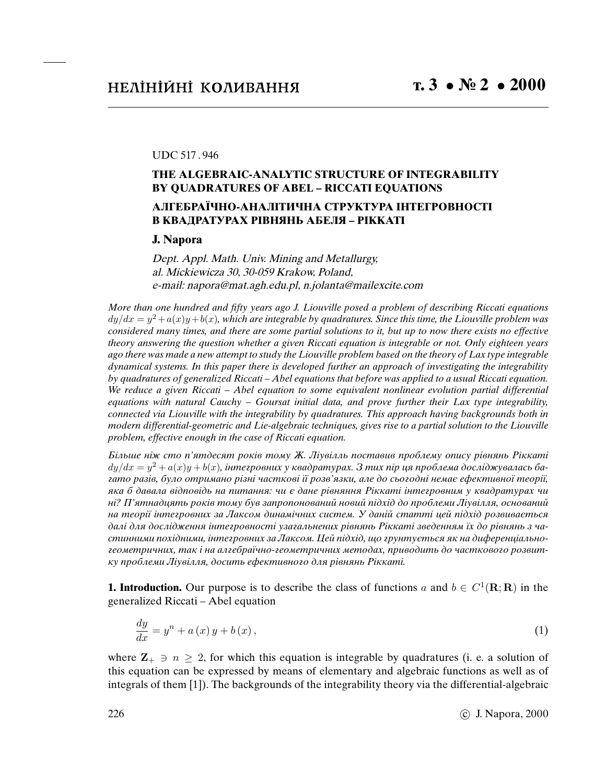## UDC 517 . 946

## **THE ALGEBRAIC-ANALYTIC STRUCTURE OF INTEGRABILITY BY QUADRATURES OF ABEL – RICCATI EQUATIONS**

## **АЛГЕБРАЇЧНО-АНАЛIТИЧНА СТРУКТУРА IНТЕГРОВНОСТI В КВАДРАТУРАХ РIВНЯНЬ АБЕЛЯ – РIККАТI**

## **J. Napora**

Dept. Appl. Math. Univ. Mining and Metallurgy, al. Mickiewicza 30, 30-059 Krakow, Poland, e-mail: napora@mat.agh.edu.pl, n.jolanta@mailexcite.com

More than one hundred and *fi*fty years ago J. Liouville posed a problem of describing Riccati equations  $dy/dx = y^2 + a(x)y + b(x)$ , which are integrable by quadratures. Since this time, the Liouville problem was considered many times, and there are some partial solutions to it, but up to now there exists no effective theory answering the question whether a given Riccati equation is integrable or not. Only eighteen years ago there was made a new attempt to study the Liouville problem based on the theory of Lax type integrable dynamical systems. In this paper there is developed further an approach of investigating the integrability by quadratures of generalized Riccati *–* Abel equations that before was applied to a usual Riccati equation. We reduce a given Riccati *–* Abel equation to some equivalent nonlinear evolution partial differential equations with natural Cauchy *–* Goursat initial data, and prove further their Lax type integrability, connected via Liouville with the integrability by quadratures. This approach having backgrounds both in modern differential-geometric and Lie-algebraic techniques, gives rise to a partial solution to the Liouville problem, effective enough in the case of Riccati equation.

Бiльше нiж сто п'ятдесят рокiв тому Ж. Лiувiлль поставив проблему опису рiвнянь Рiккатi  $dy/dx = y^2 + a(x)y + b(x)$ , інтегровних у квадратурах. З тих пір ця проблема досліджувалась багато разiв, було отримано рiзнi частковi її розв'язки, але до сьогоднi немає ефективної теорiї, яка б давала вiдповiдь на питання: чи є дане рiвняння Рiккатi iнтегровним у квадратурах чи нi? П'ятнадцять рокiв тому був запропонований новий пiдхiд до проблеми Лiувiлля, оснований на теорiї iнтегровних за Лаксом динамiчних систем. У данiй статтi цей пiдхiд розвивається далi для дослiдження iнтегровностi узагальнених рiвнянь Рiккатi зведенням їх до рiвнянь з частинними похiдними, iнтегровних за Лаксом. Цей пiдхiд, що грунтується як на диференцiальногеометричних, так i на алгебраїчно-геометричних методах, приводить до часткового розвитку проблеми Лiувiлля, досить ефективного для рiвнянь Рiккатi.

**1. Introduction.** Our purpose is to describe the class of functions a and  $b \in C^1(\mathbf{R}; \mathbf{R})$  in the generalized Riccati – Abel equation

$$
\frac{dy}{dx} = y^n + a(x)y + b(x),\tag{1}
$$

where  $\mathbb{Z}_+ \ni n \geq 2$ , for which this equation is integrable by quadratures (i. e. a solution of this equation can be expressed by means of elementary and algebraic functions as well as of integrals of them [1]). The backgrounds of the integrability theory via the differential-algebraic

226 c J. Napora, 2000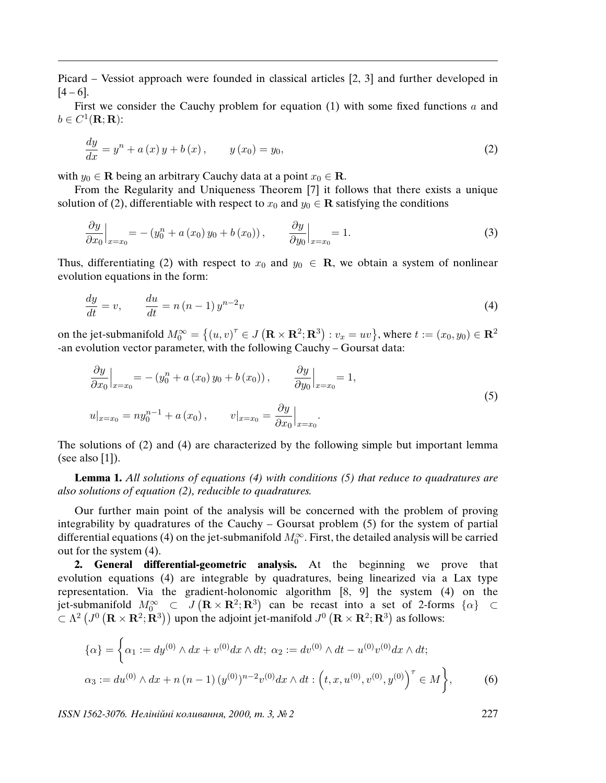Picard – Vessiot approach were founded in classical articles [2, 3] and further developed in  $[4 - 6]$ .

First we consider the Cauchy problem for equation  $(1)$  with some fixed functions a and  $b \in C^1(\mathbf{R}; \mathbf{R})$ :

$$
\frac{dy}{dx} = y^n + a(x)y + b(x), \qquad y(x_0) = y_0,\tag{2}
$$

with  $y_0 \in \mathbf{R}$  being an arbitrary Cauchy data at a point  $x_0 \in \mathbf{R}$ .

From the Regularity and Uniqueness Theorem [7] it follows that there exists a unique solution of (2), differentiable with respect to  $x_0$  and  $y_0 \in \mathbb{R}$  satisfying the conditions

$$
\frac{\partial y}{\partial x_0}\Big|_{x=x_0} = -(y_0^n + a(x_0)y_0 + b(x_0)), \qquad \frac{\partial y}{\partial y_0}\Big|_{x=x_0} = 1.
$$
\n(3)

Thus, differentiating (2) with respect to  $x_0$  and  $y_0 \in \mathbb{R}$ , we obtain a system of nonlinear evolution equations in the form:

$$
\frac{dy}{dt} = v, \qquad \frac{du}{dt} = n(n-1)y^{n-2}v
$$
\n<sup>(4)</sup>

on the jet-submanifold  $M_0^{\infty} = \left\{(u, v)^\tau \in J\left(\mathbf{R} \times \mathbf{R}^2; \mathbf{R}^3\right) : v_x = uv\right\}$ , where  $t := (x_0, y_0) \in \mathbf{R}^2$ -an evolution vector parameter, with the following Cauchy – Goursat data:

$$
\frac{\partial y}{\partial x_0}\Big|_{x=x_0} = -(y_0^n + a(x_0) y_0 + b(x_0)), \qquad \frac{\partial y}{\partial y_0}\Big|_{x=x_0} = 1,
$$
  
\n
$$
u|_{x=x_0} = ny_0^{n-1} + a(x_0), \qquad v|_{x=x_0} = \frac{\partial y}{\partial x_0}\Big|_{x=x_0}.
$$
\n(5)

The solutions of (2) and (4) are characterized by the following simple but important lemma (see also [1]).

**Lemma 1.** All solutions of equations (4) with conditions (5) that reduce to quadratures are also solutions of equation (2), reducible to quadratures.

Our further main point of the analysis will be concerned with the problem of proving integrability by quadratures of the Cauchy – Goursat problem (5) for the system of partial differential equations (4) on the jet-submanifold  $M_0^{\infty}$ . First, the detailed analysis will be carried out for the system (4).

**2. General differential-geometric analysis.** At the beginning we prove that evolution equations (4) are integrable by quadratures, being linearized via a Lax type representation. Via the gradient-holonomic algorithm [8, 9] the system (4) on the jet-submanifold  $M_0^{\infty} \subset J(\mathbf{R} \times \mathbf{R}^2; \mathbf{R}^3)$  can be recast into a set of 2-forms  $\{\alpha\} \subset$  $\bar{\mathcal{L}} \subset \Lambda^2$   $(J^0 (\mathbf{R} \times \mathbf{R}^2; \mathbf{R}^3))$  upon the adjoint jet-manifold  $J^0 (\mathbf{R} \times \mathbf{R}^2; \mathbf{R}^3)$  as follows:

$$
\{\alpha\} = \left\{\alpha_1 := dy^{(0)} \wedge dx + v^{(0)} dx \wedge dt; \ \alpha_2 := dv^{(0)} \wedge dt - u^{(0)} v^{(0)} dx \wedge dt; \ \alpha_3 := du^{(0)} \wedge dx + n (n - 1) (y^{(0)})^{n-2} v^{(0)} dx \wedge dt : (t, x, u^{(0)}, v^{(0)}, y^{(0)})^{\top} \in M \right\},
$$
 (6)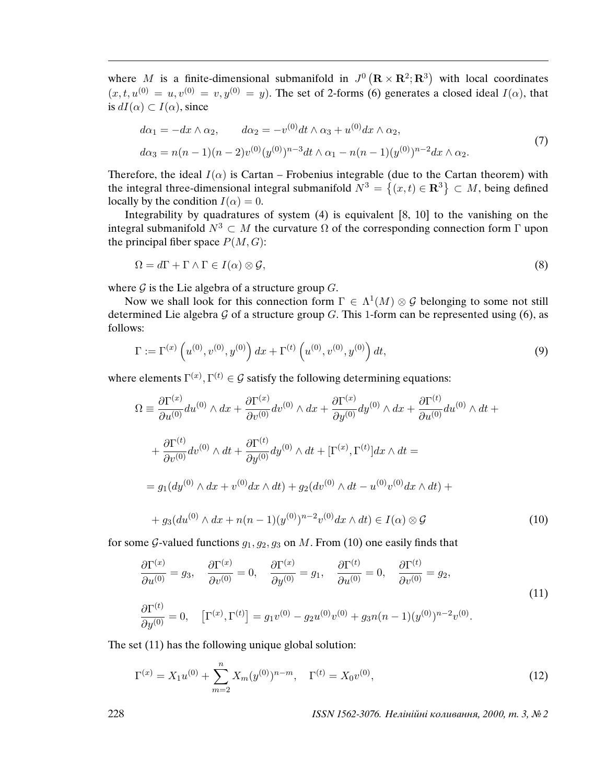where M is a finite-dimensional submanifold in  $J^0$  ( $\mathbb{R} \times \mathbb{R}^2$ ;  $\mathbb{R}^3$ ) with local coordinates  $(x, t, u^{(0)} = u, v^{(0)} = v, y^{(0)} = y)$ . The set of 2-forms (6) generates a closed ideal  $I(\alpha)$ , that is  $dI(\alpha) \subset I(\alpha)$ , since

$$
d\alpha_1 = -dx \wedge \alpha_2, \qquad d\alpha_2 = -v^{(0)}dt \wedge \alpha_3 + u^{(0)}dx \wedge \alpha_2,
$$
  
\n
$$
d\alpha_3 = n(n-1)(n-2)v^{(0)}(y^{(0)})^{n-3}dt \wedge \alpha_1 - n(n-1)(y^{(0)})^{n-2}dx \wedge \alpha_2.
$$
\n(7)

Therefore, the ideal  $I(\alpha)$  is Cartan – Frobenius integrable (due to the Cartan theorem) with the integral three-dimensional integral submanifold  $N^3 = \{(x,t) \in \mathbb{R}^3\} \subset M$ , being defined locally by the condition  $I(\alpha) = 0$ .

Integrability by quadratures of system (4) is equivalent [8, 10] to the vanishing on the integral submanifold  $N^3 \subset M$  the curvature Ω of the corresponding connection form Γ upon the principal fiber space  $P(M, G)$ :

$$
\Omega = d\Gamma + \Gamma \wedge \Gamma \in I(\alpha) \otimes \mathcal{G},\tag{8}
$$

where  $G$  is the Lie algebra of a structure group  $G$ .

Now we shall look for this connection form  $\Gamma \in \Lambda^1(M) \otimes \mathcal{G}$  belonging to some not still determined Lie algebra G of a structure group G. This 1-form can be represented using (6), as follows:

$$
\Gamma := \Gamma^{(x)}\left(u^{(0)}, v^{(0)}, y^{(0)}\right)dx + \Gamma^{(t)}\left(u^{(0)}, v^{(0)}, y^{(0)}\right)dt,\tag{9}
$$

where elements  $\Gamma^{(x)}$ ,  $\Gamma^{(t)} \in \mathcal{G}$  satisfy the following determining equations:

$$
\Omega = \frac{\partial \Gamma^{(x)}}{\partial u^{(0)}} du^{(0)} \wedge dx + \frac{\partial \Gamma^{(x)}}{\partial v^{(0)}} dv^{(0)} \wedge dx + \frac{\partial \Gamma^{(x)}}{\partial y^{(0)}} dy^{(0)} \wedge dx + \frac{\partial \Gamma^{(t)}}{\partial u^{(0)}} du^{(0)} \wedge dt + + \frac{\partial \Gamma^{(t)}}{\partial v^{(0)}} dv^{(0)} \wedge dt + \frac{\partial \Gamma^{(t)}}{\partial y^{(0)}} dy^{(0)} \wedge dt + [\Gamma^{(x)}, \Gamma^{(t)}] dx \wedge dt = = g_1(dy^{(0)} \wedge dx + v^{(0)} dx \wedge dt) + g_2(dv^{(0)} \wedge dt - u^{(0)}v^{(0)} dx \wedge dt) + + g_3(du^{(0)} \wedge dx + n(n-1)(y^{(0)})^{n-2}v^{(0)} dx \wedge dt) \in I(\alpha) \otimes \mathcal{G}
$$
\n(10)

for some G-valued functions  $g_1, g_2, g_3$  on M. From (10) one easily finds that

$$
\frac{\partial \Gamma^{(x)}}{\partial u^{(0)}} = g_3, \quad \frac{\partial \Gamma^{(x)}}{\partial v^{(0)}} = 0, \quad \frac{\partial \Gamma^{(x)}}{\partial y^{(0)}} = g_1, \quad \frac{\partial \Gamma^{(t)}}{\partial u^{(0)}} = 0, \quad \frac{\partial \Gamma^{(t)}}{\partial v^{(0)}} = g_2,
$$
\n
$$
\frac{\partial \Gamma^{(t)}}{\partial y^{(0)}} = 0, \quad [\Gamma^{(x)}, \Gamma^{(t)}] = g_1 v^{(0)} - g_2 u^{(0)} v^{(0)} + g_3 n (n - 1) (y^{(0)})^{n - 2} v^{(0)}.
$$
\n(11)

The set (11) has the following unique global solution:

$$
\Gamma^{(x)} = X_1 u^{(0)} + \sum_{m=2}^{n} X_m (y^{(0)})^{n-m}, \quad \Gamma^{(t)} = X_0 v^{(0)}, \tag{12}
$$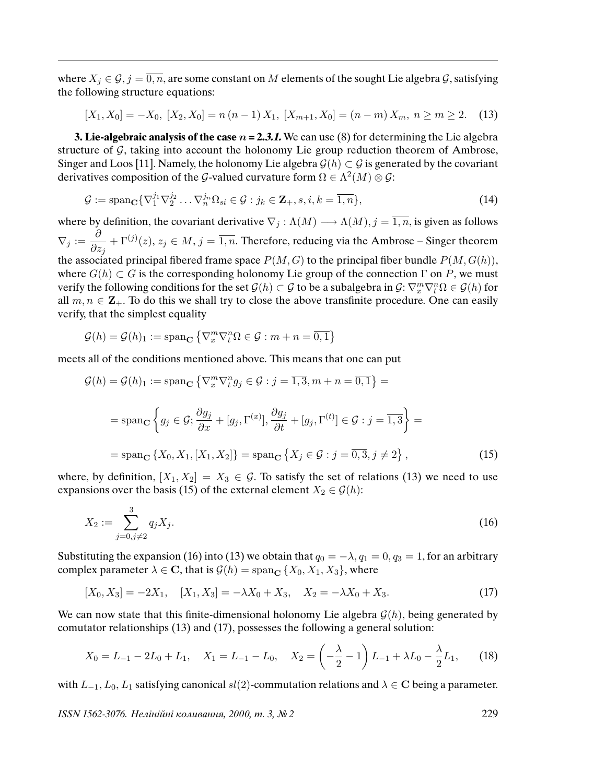where  $X_j \in \mathcal{G}, j = \overline{0, n}$ , are some constant on M elements of the sought Lie algebra  $\mathcal{G}$ , satisfying the following structure equations:

$$
[X_1, X_0] = -X_0, [X_2, X_0] = n(n-1)X_1, [X_{m+1}, X_0] = (n-m)X_m, n \ge m \ge 2. \tag{13}
$$

**3. Lie-algebraic analysis of the case**  $n = 2.3.1$ **. We can use (8) for determining the Lie algebra** structure of  $G$ , taking into account the holonomy Lie group reduction theorem of Ambrose, Singer and Loos [11]. Namely, the holonomy Lie algebra  $\mathcal{G}(h) \subset \mathcal{G}$  is generated by the covariant derivatives composition of the G-valued curvature form  $\Omega \in \Lambda^2(M) \otimes \mathcal{G}$ :

$$
\mathcal{G} := \text{span}_{\mathbf{C}} \{ \nabla_1^{j_1} \nabla_2^{j_2} \dots \nabla_n^{j_n} \Omega_{si} \in \mathcal{G} : j_k \in \mathbf{Z}_+, s, i, k = \overline{1, n} \},\tag{14}
$$

where by definition, the covariant derivative  $\nabla_j : \Lambda(M) \longrightarrow \Lambda(M), j = \overline{1,n}$ , is given as follows  $\nabla_j := \frac{\partial}{\partial x_j}$  $\partial z_j$  $+ \Gamma^{(j)}(z), z_j \in M, j = \overline{1, n}$ . Therefore, reducing via the Ambrose – Singer theorem the associated principal fibered frame space  $P(M, G)$  to the principal fiber bundle  $P(M, G(h))$ , where  $G(h) \subset G$  is the corresponding holonomy Lie group of the connection  $\Gamma$  on P, we must verify the following conditions for the set  $\mathcal{G}(h) \subset \mathcal{G}$  to be a subalgebra in  $\mathcal{G} \colon \nabla_x^m \nabla_t^n \Omega \in \mathcal{G}(h)$  for all  $m, n \in \mathbb{Z}_+$ . To do this we shall try to close the above transfinite procedure. One can easily verify, that the simplest equality

$$
\mathcal{G}(h) = \mathcal{G}(h)_1 := \operatorname{span}_{\mathbf{C}} \left\{ \nabla_x^m \nabla_t^n \Omega \in \mathcal{G} : m + n = \overline{0, 1} \right\}
$$

meets all of the conditions mentioned above. This means that one can put

$$
\mathcal{G}(h) = \mathcal{G}(h)_1 := \text{span}_{\mathbf{C}} \left\{ \nabla_x^m \nabla_t^n g_j \in \mathcal{G} : j = \overline{1, 3}, m + n = \overline{0, 1} \right\} =
$$

$$
= \text{span}_{\mathbf{C}} \left\{ g_j \in \mathcal{G}; \frac{\partial g_j}{\partial x} + [g_j, \Gamma^{(x)}], \frac{\partial g_j}{\partial t} + [g_j, \Gamma^{(t)}] \in \mathcal{G} : j = \overline{1, 3} \right\} =
$$

$$
= \text{span}_{\mathbf{C}} \left\{ X_0, X_1, [X_1, X_2] \right\} = \text{span}_{\mathbf{C}} \left\{ X_j \in \mathcal{G} : j = \overline{0, 3}, j \neq 2 \right\},\tag{15}
$$

where, by definition,  $[X_1, X_2] = X_3 \in \mathcal{G}$ . To satisfy the set of relations (13) we need to use expansions over the basis (15) of the external element  $X_2 \in \mathcal{G}(h)$ :

$$
X_2 := \sum_{j=0, j \neq 2}^{3} q_j X_j.
$$
\n(16)

Substituting the expansion (16) into (13) we obtain that  $q_0 = -\lambda$ ,  $q_1 = 0$ ,  $q_3 = 1$ , for an arbitrary complex parameter  $\lambda \in \mathbf{C}$ , that is  $\mathcal{G}(h) = \text{span}_{\mathbf{C}} \{X_0, X_1, X_3\}$ , where

$$
[X_0, X_3] = -2X_1, \quad [X_1, X_3] = -\lambda X_0 + X_3, \quad X_2 = -\lambda X_0 + X_3. \tag{17}
$$

We can now state that this finite-dimensional holonomy Lie algebra  $\mathcal{G}(h)$ , being generated by comutator relationships (13) and (17), possesses the following a general solution:

$$
X_0 = L_{-1} - 2L_0 + L_1, \quad X_1 = L_{-1} - L_0, \quad X_2 = \left(-\frac{\lambda}{2} - 1\right)L_{-1} + \lambda L_0 - \frac{\lambda}{2}L_1,\tag{18}
$$

with  $L_{-1}$ ,  $L_0$ ,  $L_1$  satisfying canonical sl(2)-commutation relations and  $\lambda \in \mathbb{C}$  being a parameter.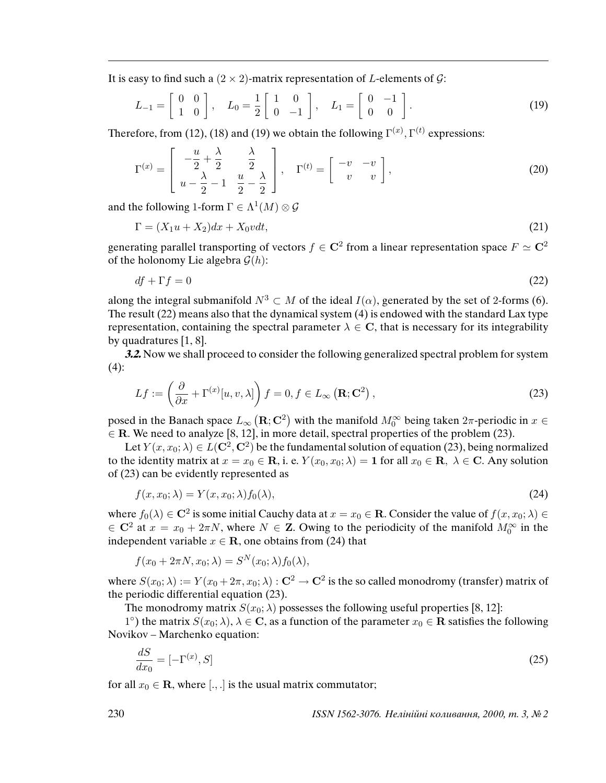It is easy to find such a  $(2 \times 2)$ -matrix representation of *L*-elements of *G*:

$$
L_{-1} = \begin{bmatrix} 0 & 0 \\ 1 & 0 \end{bmatrix}, \quad L_0 = \frac{1}{2} \begin{bmatrix} 1 & 0 \\ 0 & -1 \end{bmatrix}, \quad L_1 = \begin{bmatrix} 0 & -1 \\ 0 & 0 \end{bmatrix}.
$$
 (19)

Therefore, from (12), (18) and (19) we obtain the following  $\Gamma^{(x)}$ ,  $\Gamma^{(t)}$  expressions:

$$
\Gamma^{(x)} = \begin{bmatrix} -\frac{u}{2} + \frac{\lambda}{2} & \frac{\lambda}{2} \\ u - \frac{\lambda}{2} - 1 & \frac{u}{2} - \frac{\lambda}{2} \end{bmatrix}, \quad \Gamma^{(t)} = \begin{bmatrix} -v & -v \\ v & v \end{bmatrix},
$$
\n(20)

and the following 1-form  $\Gamma \in \Lambda^1(M) \otimes \mathcal{G}$ 

$$
\Gamma = (X_1 u + X_2) dx + X_0 v dt, \tag{21}
$$

generating parallel transporting of vectors  $f \in \mathbf{C}^2$  from a linear representation space  $F \simeq \mathbf{C}^2$ of the holonomy Lie algebra  $\mathcal{G}(h)$ :

$$
df + \Gamma f = 0 \tag{22}
$$

along the integral submanifold  $N^3 \subset M$  of the ideal  $I(\alpha)$ , generated by the set of 2-forms (6). The result (22) means also that the dynamical system (4) is endowed with the standard Lax type representation, containing the spectral parameter  $\lambda \in \mathbb{C}$ , that is necessary for its integrability by quadratures [1, 8].

**3.2.** Now we shall proceed to consider the following generalized spectral problem for system  $(4)$ :

$$
Lf := \left(\frac{\partial}{\partial x} + \Gamma^{(x)}[u, v, \lambda]\right) f = 0, f \in L_{\infty}\left(\mathbf{R}; \mathbf{C}^2\right),\tag{23}
$$

posed in the Banach space  $L_{\infty}\left(\mathbf{R};\mathbf{C}^2\right)$  with the manifold  $M_0^\infty$  being taken  $2\pi$ -periodic in  $x\in$  $\in$  R. We need to analyze [8, 12], in more detail, spectral properties of the problem (23).

Let  $Y(x, x_0; \lambda) \in L(\mathbf{C}^2, \mathbf{C}^2)$  be the fundamental solution of equation (23), being normalized to the identity matrix at  $x = x_0 \in \mathbb{R}$ , i. e.  $Y(x_0, x_0; \lambda) = 1$  for all  $x_0 \in \mathbb{R}$ ,  $\lambda \in \mathbb{C}$ . Any solution of (23) can be evidently represented as

$$
f(x, x_0; \lambda) = Y(x, x_0; \lambda) f_0(\lambda), \qquad (24)
$$

where  $f_0(\lambda) \in \mathbb{C}^2$  is some initial Cauchy data at  $x = x_0 \in \mathbb{R}$ . Consider the value of  $f(x, x_0; \lambda) \in$  $\in$  C<sup>2</sup> at  $x = x_0 + 2\pi N$ , where  $N \in \mathbb{Z}$ . Owing to the periodicity of the manifold  $M_0^{\infty}$  in the independent variable  $x \in \mathbf{R}$ , one obtains from (24) that

$$
f(x_0 + 2\pi N, x_0; \lambda) = S^N(x_0; \lambda) f_0(\lambda),
$$

where  $S(x_0;\lambda):=Y(x_0+2\pi,x_0;\lambda):{\bf C}^2\to{\bf C}^2$  is the so called monodromy (transfer) matrix of the periodic differential equation (23).

The monodromy matrix  $S(x_0; \lambda)$  possesses the following useful properties [8, 12]:

1°) the matrix  $S(x_0; \lambda)$ ,  $\lambda \in \mathbb{C}$ , as a function of the parameter  $x_0 \in \mathbb{R}$  satisfies the following Novikov – Marchenko equation:

$$
\frac{dS}{dx_0} = [-\Gamma^{(x)}, S] \tag{25}
$$

for all  $x_0 \in \mathbb{R}$ , where [., .] is the usual matrix commutator;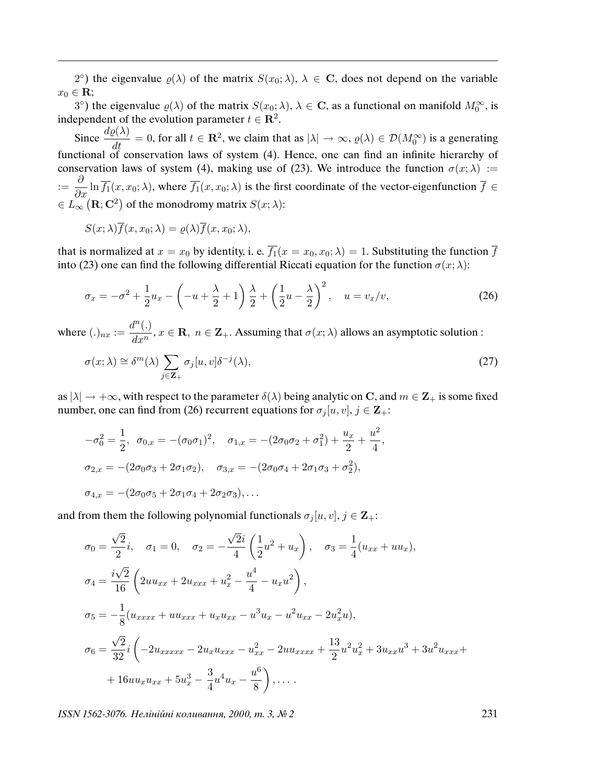2°) the eigenvalue  $\varrho(\lambda)$  of the matrix  $S(x_0; \lambda)$ ,  $\lambda \in \mathbb{C}$ , does not depend on the variable  $x_0 \in \mathbf{R}$ ;

3°) the eigenvalue  $\varrho(\lambda)$  of the matrix  $S(x_0;\lambda), \lambda \in \mathbb{C}$ , as a functional on manifold  $M_0^{\infty}$ , is independent of the evolution parameter  $t \in \mathbb{R}^2$ .

Since  $\frac{d\varrho(\lambda)}{dt} = 0$ , for all  $t \in \mathbb{R}^2$ , we claim that as  $|\lambda| \to \infty$ ,  $\varrho(\lambda) \in \mathcal{D}(M_0^{\infty})$  is a generating functional of conservation laws of system (4). Hence, one can find an infinite hierarchy of conservation laws of system (4), making use of (23). We introduce the function  $\sigma(x; \lambda) :=$  $\frac{\partial}{\partial x}$  ln  $\overline{f_1}(x, x_0; \lambda)$ , where  $\overline{f_1}(x, x_0; \lambda)$  is the first coordinate of the vector-eigenfunction  $\overline{f} \in$  $\in L_{\infty}(\mathbf{R};\mathbf{C}^2)$  of the monodromy matrix  $S(x;\lambda)$ :

$$
S(x; \lambda) \overline{f}(x, x_0; \lambda) = \varrho(\lambda) \overline{f}(x, x_0; \lambda),
$$

that is normalized at  $x = x_0$  by identity, i. e.  $\overline{f_1}(x = x_0, x_0; \lambda) = 1$ . Substituting the function  $\overline{f}$ into (23) one can find the following differential Riccati equation for the function  $\sigma(x; \lambda)$ :

$$
\sigma_x = -\sigma^2 + \frac{1}{2}u_x - \left(-u + \frac{\lambda}{2} + 1\right)\frac{\lambda}{2} + \left(\frac{1}{2}u - \frac{\lambda}{2}\right)^2, \quad u = v_x/v,
$$
\n(26)

where  $(.)_{nx} := \frac{d^n(.)}{dx^n}$  $\frac{d^+(t)}{dx^n}$ ,  $x \in \mathbf{R}$ ,  $n \in \mathbf{Z}_+$ . Assuming that  $\sigma(x; \lambda)$  allows an asymptotic solution :

$$
\sigma(x;\lambda) \cong \delta^m(\lambda) \sum_{j \in \mathbf{Z}_+} \sigma_j[u,v] \delta^{-j}(\lambda), \qquad (27)
$$

as  $|\lambda| \to +\infty$ , with respect to the parameter  $\delta(\lambda)$  being analytic on C, and  $m \in \mathbb{Z}_+$  is some fixed number, one can find from (26) recurrent equations for  $\sigma_j[u, v], j \in \mathbb{Z}_+$ :

$$
-\sigma_0^2 = \frac{1}{2}, \quad \sigma_{0,x} = -(\sigma_0 \sigma_1)^2, \quad \sigma_{1,x} = -(2\sigma_0 \sigma_2 + \sigma_1^2) + \frac{u_x}{2} + \frac{u^2}{4},
$$
  

$$
\sigma_{2,x} = -(2\sigma_0 \sigma_3 + 2\sigma_1 \sigma_2), \quad \sigma_{3,x} = -(2\sigma_0 \sigma_4 + 2\sigma_1 \sigma_3 + \sigma_2^2),
$$
  

$$
\sigma_{4,x} = -(2\sigma_0 \sigma_5 + 2\sigma_1 \sigma_4 + 2\sigma_2 \sigma_3), \dots
$$

and from them the following polynomial functionals  $\sigma_j[u, v], j \in \mathbb{Z}_+$ :

$$
\sigma_0 = \frac{\sqrt{2}}{2}i, \quad \sigma_1 = 0, \quad \sigma_2 = -\frac{\sqrt{2}i}{4} \left( \frac{1}{2} u^2 + u_x \right), \quad \sigma_3 = \frac{1}{4} (u_{xx} + u_{xx}),
$$
  
\n
$$
\sigma_4 = \frac{i\sqrt{2}}{16} \left( 2uu_{xx} + 2u_{xxx} + u_x^2 - \frac{u^4}{4} - u_x u^2 \right),
$$
  
\n
$$
\sigma_5 = -\frac{1}{8} (u_{xxxx} + uu_{xxx} + u_x u_{xx} - u^3 u_x - u^2 u_{xx} - 2u_x^2 u),
$$
  
\n
$$
\sigma_6 = \frac{\sqrt{2}}{32}i \left( -2u_{xxxxx} - 2u_x u_{xxx} - u_{xx}^2 - 2u u_{xxxxx} + \frac{13}{2} u^2 u_x^2 + 3u_{xx} u^3 + 3u^2 u_{xxx} + 16u u_x u_{xx} + 5u_x^3 - \frac{3}{4} u^4 u_x - \frac{u^6}{8} \right), \dots
$$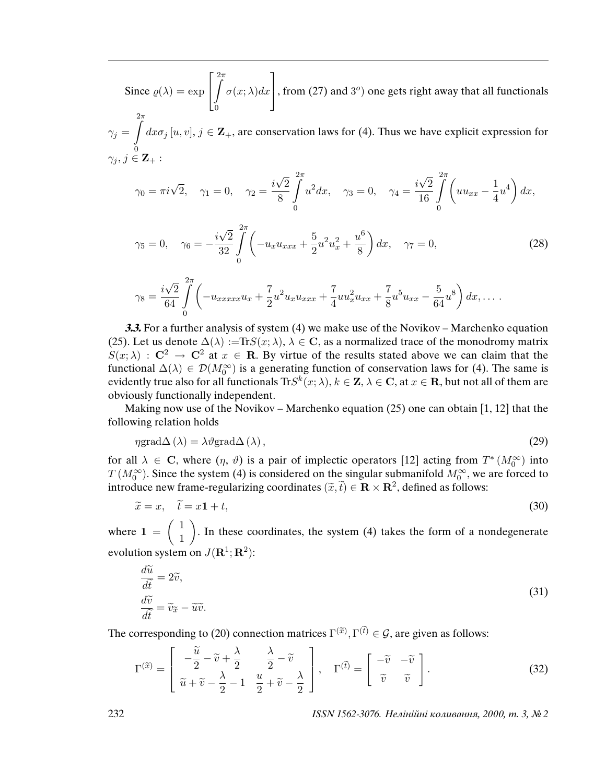Since  $\rho(\lambda) = \exp$  $\sqrt{ }$  $\overline{1}$ Z  $2\pi$ 0  $\sigma(x;\lambda)dx$ 1 , from  $(27)$  and  $3^{\circ}$ ) one gets right away that all functionals  $2\pi$ 

 $\gamma_j =$ 0  $dx\sigma_j[u, v], j \in \mathbb{Z}_+$ , are conservation laws for (4). Thus we have explicit expression for  $\gamma_j, j \in \mathbf{Z}_+$  :

$$
\gamma_0 = \pi i \sqrt{2}, \quad \gamma_1 = 0, \quad \gamma_2 = \frac{i\sqrt{2}}{8} \int_0^{2\pi} u^2 dx, \quad \gamma_3 = 0, \quad \gamma_4 = \frac{i\sqrt{2}}{16} \int_0^{2\pi} \left( u u_{xx} - \frac{1}{4} u^4 \right) dx,
$$

$$
\gamma_5 = 0, \quad \gamma_6 = -\frac{i\sqrt{2}}{32} \int_0^{2\pi} \left( -u_x u_{xxx} + \frac{5}{2} u^2 u_x^2 + \frac{u^6}{8} \right) dx, \quad \gamma_7 = 0,
$$
\n(28)

$$
\gamma_8 = \frac{i\sqrt{2}}{64} \int_0^{2\pi} \left( -u_{xxxxx} u_x + \frac{7}{2} u^2 u_x u_{xxx} + \frac{7}{4} u u_x^2 u_{xx} + \frac{7}{8} u^5 u_{xx} - \frac{5}{64} u^8 \right) dx, \dots
$$

**3.3.** For a further analysis of system (4) we make use of the Novikov – Marchenko equation (25). Let us denote  $\Delta(\lambda) := \text{Tr}S(x; \lambda), \lambda \in \mathbb{C}$ , as a normalized trace of the monodromy matrix  $S(x; \lambda) : \mathbb{C}^2 \to \mathbb{C}^2$  at  $x \in \mathbb{R}$ . By virtue of the results stated above we can claim that the functional  $\Delta(\lambda) \in \mathcal{D}(M_0^{\infty})$  is a generating function of conservation laws for (4). The same is evidently true also for all functionals  ${\rm Tr}S^k (x; \lambda), k\in {\bf Z}, \lambda \in {\bf C},$  at  $x\in {\bf R},$  but not all of them are obviously functionally independent.

Making now use of the Novikov – Marchenko equation (25) one can obtain  $[1, 12]$  that the following relation holds

$$
\eta \text{grad}\Delta\left(\lambda\right) = \lambda \vartheta \text{grad}\Delta\left(\lambda\right),\tag{29}
$$

for all  $\lambda \in \mathbb{C}$ , where  $(\eta, \vartheta)$  is a pair of implectic operators [12] acting from  $T^*(M_0^{\infty})$  into  $T(M_0^{\infty})$ . Since the system (4) is considered on the singular submanifold  $M_0^{\infty}$ , we are forced to introduce new frame-regularizing coordinates  $(\tilde{x}, \tilde{t}) \in \mathbf{R} \times \mathbf{R}^2$ , defined as follows:

$$
\widetilde{x} = x, \quad \widetilde{t} = x\mathbf{1} + t,\tag{30}
$$

where  $1 = \begin{pmatrix} 1 \\ 1 \end{pmatrix}$ 1 . In these coordinates, the system (4) takes the form of a nondegenerate evolution system on  $J(\mathbf{R}^1; \mathbf{R}^2)$ :

$$
\frac{d\widetilde{u}}{d\widetilde{t}} = 2\widetilde{v},
$$
  
\n
$$
\frac{d\widetilde{v}}{d\widetilde{t}} = \widetilde{v}_{\widetilde{x}} - \widetilde{u}\widetilde{v}.
$$
\n(31)

The corresponding to (20) connection matrices  $\Gamma^{(\tilde{x})}, \Gamma^{(\tilde{t})} \in \mathcal{G}$ , are given as follows:

$$
\Gamma^{(\tilde{x})} = \begin{bmatrix} -\frac{\tilde{u}}{2} - \tilde{v} + \frac{\lambda}{2} & \frac{\lambda}{2} - \tilde{v} \\ \tilde{u} + \tilde{v} - \frac{\lambda}{2} - 1 & \frac{u}{2} + \tilde{v} - \frac{\lambda}{2} \end{bmatrix}, \quad \Gamma^{(\tilde{t})} = \begin{bmatrix} -\tilde{v} & -\tilde{v} \\ \tilde{v} & \tilde{v} \end{bmatrix}.
$$
 (32)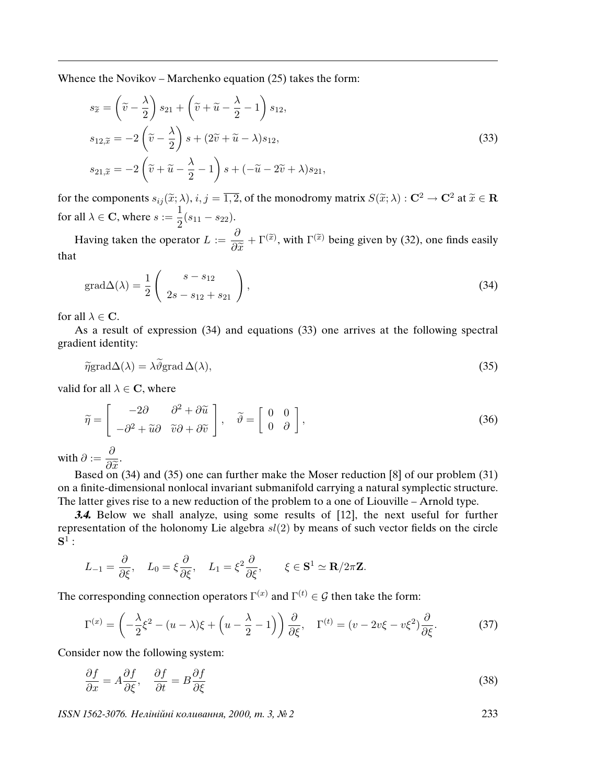Whence the Novikov – Marchenko equation (25) takes the form:

$$
s_{\tilde{x}} = \left(\tilde{v} - \frac{\lambda}{2}\right) s_{21} + \left(\tilde{v} + \tilde{u} - \frac{\lambda}{2} - 1\right) s_{12},
$$
  
\n
$$
s_{12, \tilde{x}} = -2\left(\tilde{v} - \frac{\lambda}{2}\right) s + (2\tilde{v} + \tilde{u} - \lambda) s_{12},
$$
  
\n
$$
s_{21, \tilde{x}} = -2\left(\tilde{v} + \tilde{u} - \frac{\lambda}{2} - 1\right) s + (-\tilde{u} - 2\tilde{v} + \lambda) s_{21},
$$
\n(33)

for the components  $s_{ij}(\tilde{x}; \lambda), i, j = \overline{1,2}$ , of the monodromy matrix  $S(\tilde{x}; \lambda) : \mathbf{C}^2 \to \mathbf{C}^2$  at  $\tilde{x} \in \mathbf{R}$ for all  $\lambda \in \mathbf{C}$ , where  $s := \frac{1}{2}$  $rac{1}{2}(s_{11}-s_{22}).$ 

Having taken the operator  $L := \frac{\partial}{\partial \zeta}$  $\partial \widetilde{x}$  $+ \Gamma^{(\tilde{x})}$ , with  $\Gamma^{(\tilde{x})}$  being given by (32), one finds easily that

$$
\text{grad}\Delta(\lambda) = \frac{1}{2} \begin{pmatrix} s - s_{12} \\ 2s - s_{12} + s_{21} \end{pmatrix},\tag{34}
$$

for all  $\lambda \in \mathbf{C}$ .

As a result of expression (34) and equations (33) one arrives at the following spectral gradient identity:

$$
\tilde{\eta} \text{grad} \Delta(\lambda) = \lambda \tilde{\vartheta} \text{grad} \Delta(\lambda),\tag{35}
$$

valid for all  $\lambda \in \mathbb{C}$ , where

$$
\widetilde{\eta} = \begin{bmatrix} -2\partial & \partial^2 + \partial \widetilde{u} \\ -\partial^2 + \widetilde{u}\partial & \widetilde{v}\partial + \partial \widetilde{v} \end{bmatrix}, \quad \widetilde{\vartheta} = \begin{bmatrix} 0 & 0 \\ 0 & \partial \end{bmatrix},
$$
\n(36)

with  $\partial := \frac{\partial}{\partial \widetilde{\phi}}$ .

 $\begin{bmatrix} 0 & \cdots & \partial \tilde{x} \\ \partial x & \partial y \end{bmatrix}$  and (35) one can further make the Moser reduction [8] of our problem (31) on a finite-dimensional nonlocal invariant submanifold carrying a natural symplectic structure. The latter gives rise to a new reduction of the problem to a one of Liouville – Arnold type.

**3.4.** Below we shall analyze, using some results of [12], the next useful for further representation of the holonomy Lie algebra  $sl(2)$  by means of such vector fields on the circle  $\mathbf{S}^1$  :

$$
L_{-1} = \frac{\partial}{\partial \xi}, \quad L_0 = \xi \frac{\partial}{\partial \xi}, \quad L_1 = \xi^2 \frac{\partial}{\partial \xi}, \qquad \xi \in \mathbf{S}^1 \simeq \mathbf{R}/2\pi \mathbf{Z}.
$$

The corresponding connection operators  $\Gamma^{(x)}$  and  $\Gamma^{(t)} \in \mathcal{G}$  then take the form:

$$
\Gamma^{(x)} = \left(-\frac{\lambda}{2}\xi^2 - (u-\lambda)\xi + \left(u-\frac{\lambda}{2}-1\right)\right)\frac{\partial}{\partial\xi}, \quad \Gamma^{(t)} = (v-2v\xi - v\xi^2)\frac{\partial}{\partial\xi}.\tag{37}
$$

Consider now the following system:

$$
\frac{\partial f}{\partial x} = A \frac{\partial f}{\partial \xi}, \quad \frac{\partial f}{\partial t} = B \frac{\partial f}{\partial \xi}
$$
(38)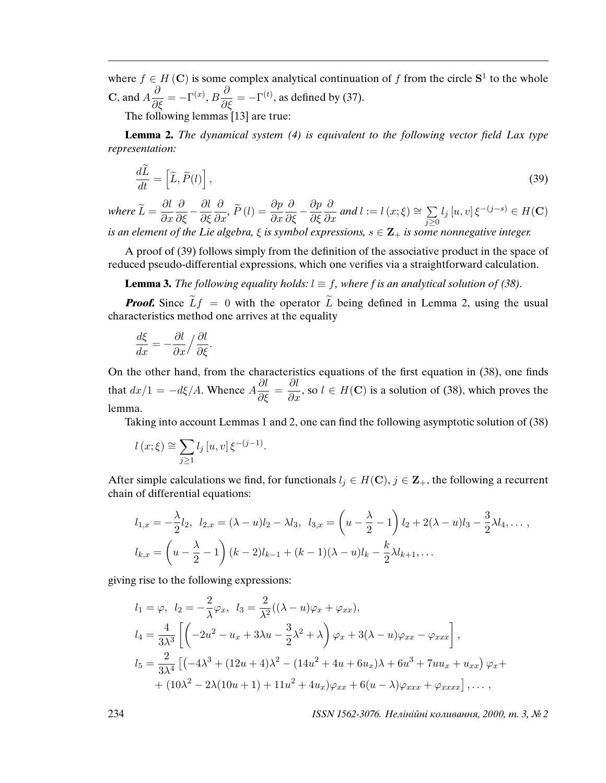where  $f \in H(\mathbf{C})$  is some complex analytical continuation of f from the circle  $S^1$  to the whole **C**, and  $A\frac{\partial}{\partial \xi} = -\Gamma^{(x)}, B\frac{\partial}{\partial \xi} = -\Gamma^{(t)}$ , as defined by (37).

The following lemmas [13] are true:

**Lemma 2.** The dynamical system (4) is equivalent to the following vector *fi*eld Lax type representation:

$$
\frac{d\tilde{L}}{dt} = \left[\tilde{L}, \tilde{P}(l)\right],\tag{39}
$$

where  $\widetilde{L}=\displaystyle{\frac{\partial l}{\partial x}}$  $\partial x$  $\frac{\partial}{\partial \xi} - \frac{\partial l}{\partial \xi}$ ∂ξ  $\frac{\partial}{\partial x}$ ,  $\widetilde{P}(l) = \frac{\partial p}{\partial x}$  $\frac{\partial}{\partial \xi} - \frac{\partial p}{\partial \xi}$ ∂ξ  $\frac{\partial}{\partial x}$  and  $l := l(x; \xi) \cong \sum_{i \geq 0}$  $\sum_{j\geq 0}$  $l_j[u,v] \, \xi^{-(j-s)} \in H({\bf C})$ is an element of the Lie algebra,  $\xi$  is symbol expressions,  $s \in \mathbb{Z}_+$  is some nonnegative integer.

A proof of (39) follows simply from the definition of the associative product in the space of reduced pseudo-differential expressions, which one verifies via a straightforward calculation.

**Lemma 3.** The following equality holds:  $l \equiv f$ , where f is an analytical solution of (38).

**Proof.** Since  $\widetilde{L}f = 0$  with the operator  $\widetilde{L}$  being defined in Lemma 2, using the usual characteristics method one arrives at the equality

$$
\frac{d\xi}{dx} = -\frac{\partial l}{\partial x} / \frac{\partial l}{\partial \xi}.
$$

On the other hand, from the characteristics equations of the first equation in (38), one finds that  $dx/1 = -d\xi/A$ . Whence  $A\frac{\partial l}{\partial \xi} = \frac{\partial l}{\partial x}$ , so  $l \in H(\mathbf{C})$  is a solution of (38), which proves the lemma.

Taking into account Lemmas 1 and 2, one can find the following asymptotic solution of (38)

$$
l(x; \xi) \approx \sum_{j \ge 1} l_j [u, v] \xi^{-(j-1)}
$$
.

After simple calculations we find, for functionals  $l_i \in H(C)$ ,  $j \in \mathbb{Z}_+$ , the following a recurrent chain of differential equations:

$$
l_{1,x} = -\frac{\lambda}{2}l_2, \ \ l_{2,x} = (\lambda - u)l_2 - \lambda l_3, \ \ l_{3,x} = \left(u - \frac{\lambda}{2} - 1\right)l_2 + 2(\lambda - u)l_3 - \frac{3}{2}\lambda l_4, \dots,
$$
  

$$
l_{k,x} = \left(u - \frac{\lambda}{2} - 1\right)(k - 2)l_{k-1} + (k - 1)(\lambda - u)l_k - \frac{k}{2}\lambda l_{k+1}, \dots
$$

giving rise to the following expressions:

$$
l_1 = \varphi, \quad l_2 = -\frac{2}{\lambda}\varphi_x, \quad l_3 = \frac{2}{\lambda^2}((\lambda - u)\varphi_x + \varphi_{xx}),
$$
  
\n
$$
l_4 = \frac{4}{3\lambda^3} \left[ \left( -2u^2 - u_x + 3\lambda u - \frac{3}{2}\lambda^2 + \lambda \right) \varphi_x + 3(\lambda - u)\varphi_{xx} - \varphi_{xxx} \right],
$$
  
\n
$$
l_5 = \frac{2}{3\lambda^4} \left[ \left( -4\lambda^3 + (12u + 4)\lambda^2 - (14u^2 + 4u + 6u_x)\lambda + 6u^3 + 7uu_x + u_{xx} \right) \varphi_x + \right. \\
\left. + (10\lambda^2 - 2\lambda(10u + 1) + 11u^2 + 4u_x)\varphi_{xx} + 6(u - \lambda)\varphi_{xxx} + \varphi_{xxxx} \right], \dots,
$$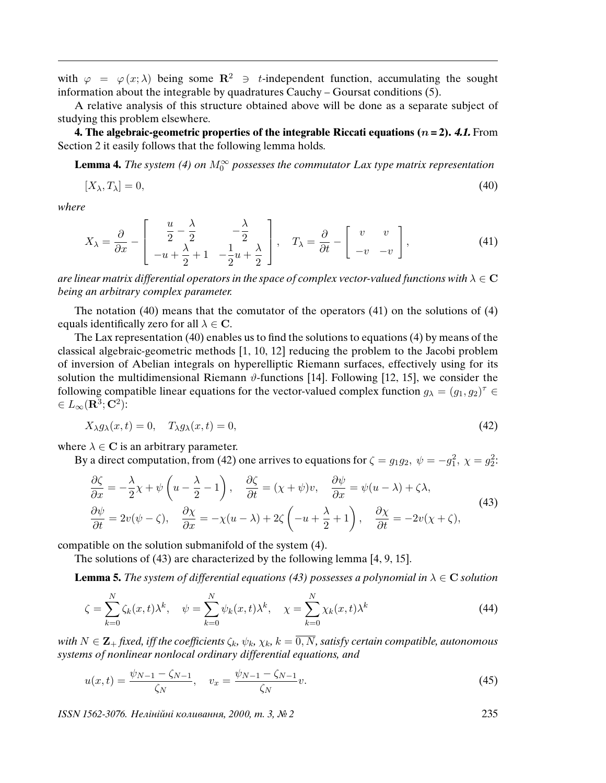with  $\varphi = \varphi(x; \lambda)$  being some  $\mathbb{R}^2 \ni t$ -independent function, accumulating the sought information about the integrable by quadratures Cauchy – Goursat conditions (5).

A relative analysis of this structure obtained above will be done as a separate subject of studying this problem elsewhere.

**4. The algebraic-geometric properties of the integrable Riccati equations (**n **= 2). 4.1.** From Section 2 it easily follows that the following lemma holds.

**Lemma 4.** The system (4) on  $M_0^{\infty}$  possesses the commutator Lax type matrix representation

$$
[X_{\lambda}, T_{\lambda}] = 0,\t\t(40)
$$

where

$$
X_{\lambda} = \frac{\partial}{\partial x} - \begin{bmatrix} \frac{u}{2} - \frac{\lambda}{2} & -\frac{\lambda}{2} \\ -u + \frac{\lambda}{2} + 1 & -\frac{1}{2}u + \frac{\lambda}{2} \end{bmatrix}, \quad T_{\lambda} = \frac{\partial}{\partial t} - \begin{bmatrix} v & v \\ -v & -v \end{bmatrix}, \tag{41}
$$

are linear matrix differential operators in the space of complex vector-valued functions with  $\lambda \in \mathbf{C}$ being an arbitrary complex parameter.

The notation (40) means that the comutator of the operators (41) on the solutions of (4) equals identifically zero for all  $\lambda \in \mathbb{C}$ .

The Lax representation (40) enables us to find the solutions to equations (4) by means of the classical algebraic-geometric methods [1, 10, 12] reducing the problem to the Jacobi problem of inversion of Abelian integrals on hyperelliptic Riemann surfaces, effectively using for its solution the multidimensional Riemann  $\vartheta$ -functions [14]. Following [12, 15], we consider the following compatible linear equations for the vector-valued complex function  $g_{\lambda} = (g_1, g_2)^{\tau} \in$  $\in L_{\infty}(\mathbf{R}^3; \mathbf{C}^2)$ :

$$
X_{\lambda}g_{\lambda}(x,t) = 0, \quad T_{\lambda}g_{\lambda}(x,t) = 0,
$$
\n<sup>(42)</sup>

where  $\lambda \in \mathbf{C}$  is an arbitrary parameter.

By a direct computation, from (42) one arrives to equations for  $\zeta = g_1 g_2, \ \psi = -g_1^2, \ \chi = g_2^2$ .

$$
\frac{\partial \zeta}{\partial x} = -\frac{\lambda}{2} \chi + \psi \left( u - \frac{\lambda}{2} - 1 \right), \quad \frac{\partial \zeta}{\partial t} = (\chi + \psi)v, \quad \frac{\partial \psi}{\partial x} = \psi(u - \lambda) + \zeta \lambda,
$$
\n
$$
\frac{\partial \psi}{\partial t} = 2v(\psi - \zeta), \quad \frac{\partial \chi}{\partial x} = -\chi(u - \lambda) + 2\zeta \left( -u + \frac{\lambda}{2} + 1 \right), \quad \frac{\partial \chi}{\partial t} = -2v(\chi + \zeta),
$$
\n(43)

compatible on the solution submanifold of the system (4).

The solutions of (43) are characterized by the following lemma [4, 9, 15].

**Lemma 5.** The system of differential equations (43) possesses a polynomial in  $\lambda \in \mathbb{C}$  solution

$$
\zeta = \sum_{k=0}^{N} \zeta_k(x, t) \lambda^k, \quad \psi = \sum_{k=0}^{N} \psi_k(x, t) \lambda^k, \quad \chi = \sum_{k=0}^{N} \chi_k(x, t) \lambda^k
$$
\n(44)

with  $N \in \mathbf{Z}_+$  *fixed, iff the coefficients*  $\zeta_k$ ,  $\psi_k$ ,  $\chi_k$ ,  $k = \overline{0, N}$ , satisfy certain compatible, autonomous systems of nonlinear nonlocal ordinary differential equations, and

$$
u(x,t) = \frac{\psi_{N-1} - \zeta_{N-1}}{\zeta_N}, \quad v_x = \frac{\psi_{N-1} - \zeta_{N-1}}{\zeta_N}v.
$$
 (45)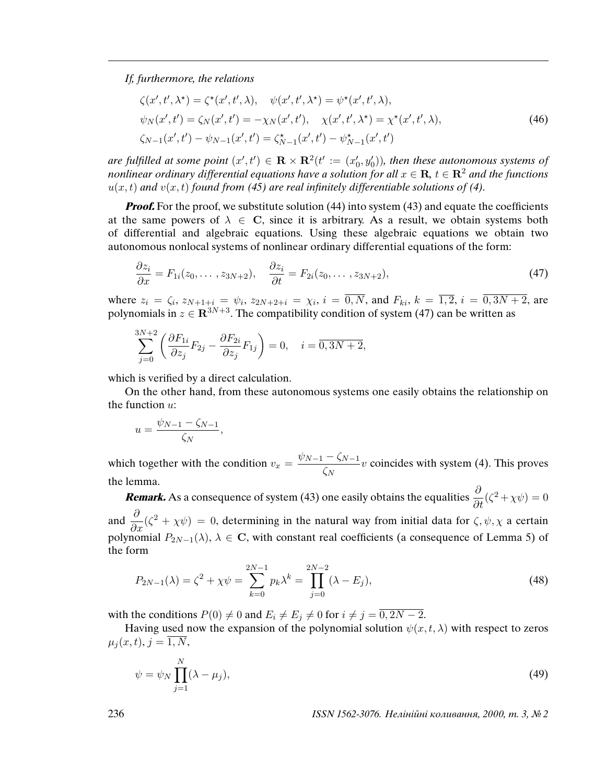If, furthermore, the relations

$$
\zeta(x',t',\lambda^*) = \zeta^*(x',t',\lambda), \quad \psi(x',t',\lambda^*) = \psi^*(x',t',\lambda), \psi_N(x',t') = \zeta_N(x',t') = -\chi_N(x',t'), \quad \chi(x',t',\lambda^*) = \chi^*(x',t',\lambda), \zeta_{N-1}(x',t') - \psi_{N-1}(x',t') = \zeta_{N-1}^*(x',t') - \psi_{N-1}^*(x',t')
$$
\n(46)

are fulfilled at some point  $(x',t') \in \mathbf{R} \times \mathbf{R}^2$  $(t' := (x_0')^2)$  $\zeta_0',y_0')$ ), then these autonomous systems of nonlinear ordinary differential equations have a solution for all  $x \in \mathbf{R}$ ,  $t \in \mathbf{R}^2$  and the functions  $u(x, t)$  and  $v(x, t)$  found from (45) are real infinitely differentiable solutions of (4).

*Proof.* For the proof, we substitute solution (44) into system (43) and equate the coefficients at the same powers of  $\lambda \in \mathbb{C}$ , since it is arbitrary. As a result, we obtain systems both of differential and algebraic equations. Using these algebraic equations we obtain two autonomous nonlocal systems of nonlinear ordinary differential equations of the form:

$$
\frac{\partial z_i}{\partial x} = F_{1i}(z_0, \dots, z_{3N+2}), \quad \frac{\partial z_i}{\partial t} = F_{2i}(z_0, \dots, z_{3N+2}), \tag{47}
$$

where  $z_i = \zeta_i$ ,  $z_{N+1+i} = \psi_i$ ,  $z_{2N+2+i} = \chi_i$ ,  $i = 0, N$ , and  $F_{ki}$ ,  $k = \overline{1,2}$ ,  $i = 0, 3N+2$ , are polynomials in  $z \in \mathbb{R}^{3N+3}$ . The compatibility condition of system (47) can be written as

$$
\sum_{j=0}^{3N+2} \left( \frac{\partial F_{1i}}{\partial z_j} F_{2j} - \frac{\partial F_{2i}}{\partial z_j} F_{1j} \right) = 0, \quad i = \overline{0, 3N+2},
$$

which is verified by a direct calculation.

On the other hand, from these autonomous systems one easily obtains the relationship on the function  $u$ :

$$
u = \frac{\psi_{N-1} - \zeta_{N-1}}{\zeta_N},
$$

which together with the condition  $v_x = \frac{\psi_{N-1} - \zeta_{N-1}}{\zeta_N}$  $\frac{\zeta_{N-1}}{\zeta_N}v$  coincides with system (4). This proves the lemma.

**Remark.** As a consequence of system (43) one easily obtains the equalities  $\frac{\partial}{\partial t}(\zeta^2 + \chi\psi) = 0$ and  $\frac{\partial}{\partial x}(\zeta^2 + \chi\psi) = 0$ , determining in the natural way from initial data for  $\zeta$ ,  $\psi$ ,  $\chi$  a certain polynomial  $P_{2N-1}(\lambda)$ ,  $\lambda \in \mathbb{C}$ , with constant real coefficients (a consequence of Lemma 5) of the form

$$
P_{2N-1}(\lambda) = \zeta^2 + \chi \psi = \sum_{k=0}^{2N-1} p_k \lambda^k = \prod_{j=0}^{2N-2} (\lambda - E_j),
$$
\n(48)

with the conditions  $P(0) \neq 0$  and  $E_i \neq E_j \neq 0$  for  $i \neq j = 0, 2N - 2$ .

Having used now the expansion of the polynomial solution  $\psi(x, t, \lambda)$  with respect to zeros  $\mu_i(x, t), j = \overline{1, N},$ 

$$
\psi = \psi_N \prod_{j=1}^N (\lambda - \mu_j),\tag{49}
$$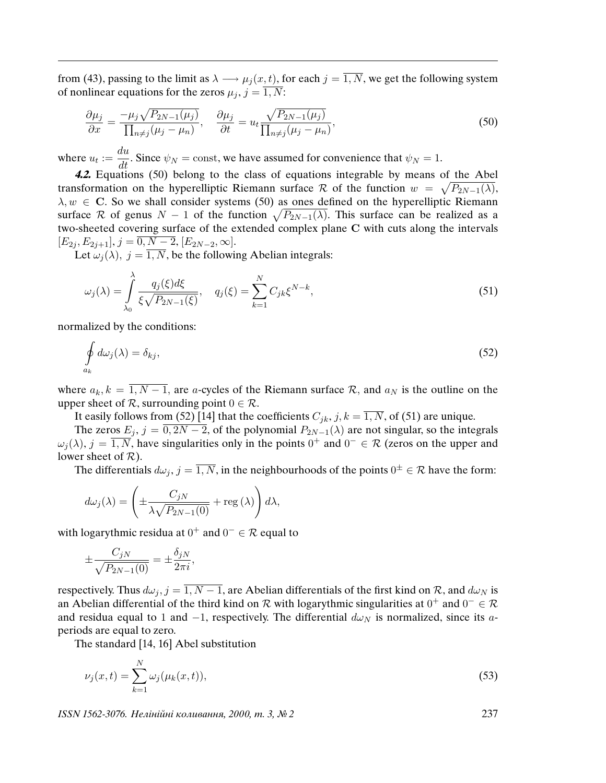from (43), passing to the limit as  $\lambda \longrightarrow \mu_j(x, t)$ , for each  $j = \overline{1, N}$ , we get the following system of nonlinear equations for the zeros  $\mu_j$ ,  $j = \overline{1, N}$ :

$$
\frac{\partial \mu_j}{\partial x} = \frac{-\mu_j \sqrt{P_{2N-1}(\mu_j)}}{\prod_{n \neq j} (\mu_j - \mu_n)}, \quad \frac{\partial \mu_j}{\partial t} = u_t \frac{\sqrt{P_{2N-1}(\mu_j)}}{\prod_{n \neq j} (\mu_j - \mu_n)},\tag{50}
$$

where  $u_t := \frac{du}{dt}$ . Since  $\psi_N = \text{const}$ , we have assumed for convenience that  $\psi_N = 1$ .

**4.2.** Equations (50) belong to the class of equations integrable by means of the Abel transformation on the hyperelliptic Riemann surface R of the function  $w = \sqrt{P_{2N-1}(\lambda)}$ ,  $\lambda, w \in \mathbb{C}$ . So we shall consider systems (50) as ones defined on the hyperelliptic Riemann surface R of genus  $N-1$  of the function  $\sqrt{P_{2N-1}(\lambda)}$ . This surface can be realized as a two-sheeted covering surface of the extended complex plane C with cuts along the intervals  $[E_{2j}, E_{2j+1}], j = \overline{0, N-2}, [E_{2N-2}, \infty].$ 

Let  $\omega_j(\lambda)$ ,  $j = \overline{1, N}$ , be the following Abelian integrals:

$$
\omega_j(\lambda) = \int_{\lambda_0}^{\lambda} \frac{q_j(\xi) d\xi}{\xi \sqrt{P_{2N-1}(\xi)}}, \quad q_j(\xi) = \sum_{k=1}^{N} C_{jk} \xi^{N-k}, \tag{51}
$$

normalized by the conditions:

$$
\oint_{a_k} d\omega_j(\lambda) = \delta_{kj},\tag{52}
$$

where  $a_k$ ,  $k = \overline{1, N-1}$ , are a-cycles of the Riemann surface  $\mathcal{R}$ , and  $a_N$  is the outline on the upper sheet of  $\mathcal R$ , surrounding point  $0 \in \mathcal R$ .

It easily follows from (52) [14] that the coefficients  $C_{jk}$ ,  $j, k = \overline{1, N}$ , of (51) are unique.

The zeros  $E_j$ ,  $j = 0, 2N - 2$ , of the polynomial  $P_{2N-1}(\lambda)$  are not singular, so the integrals  $\omega_j(\lambda)$ ,  $j = \overline{1, N}$ , have singularities only in the points  $0^+$  and  $0^- \in \mathcal{R}$  (zeros on the upper and lower sheet of  $R$ ).

The differentials  $d\omega_j$ ,  $j = \overline{1, N}$ , in the neighbourhoods of the points  $0^{\pm} \in \mathcal{R}$  have the form:

$$
d\omega_j(\lambda) = \left(\pm \frac{C_{jN}}{\lambda \sqrt{P_{2N-1}(0)}} + \text{reg}(\lambda)\right) d\lambda,
$$

with logarythmic residua at  $0^+$  and  $0^- \in \mathcal{R}$  equal to

$$
\pm \frac{C_{jN}}{\sqrt{P_{2N-1}(0)}} = \pm \frac{\delta_{jN}}{2\pi i},
$$

respectively. Thus  $d\omega_j$ ,  $j = \overline{1, N-1}$ , are Abelian differentials of the first kind on  $\mathcal{R}$ , and  $d\omega_N$  is an Abelian differential of the third kind on R with logarythmic singularities at  $0^+$  and  $0^- \in \mathcal{R}$ and residua equal to 1 and  $-1$ , respectively. The differential  $d\omega_N$  is normalized, since its aperiods are equal to zero.

The standard [14, 16] Abel substitution

$$
\nu_j(x,t) = \sum_{k=1}^N \omega_j(\mu_k(x,t)),
$$
\n(53)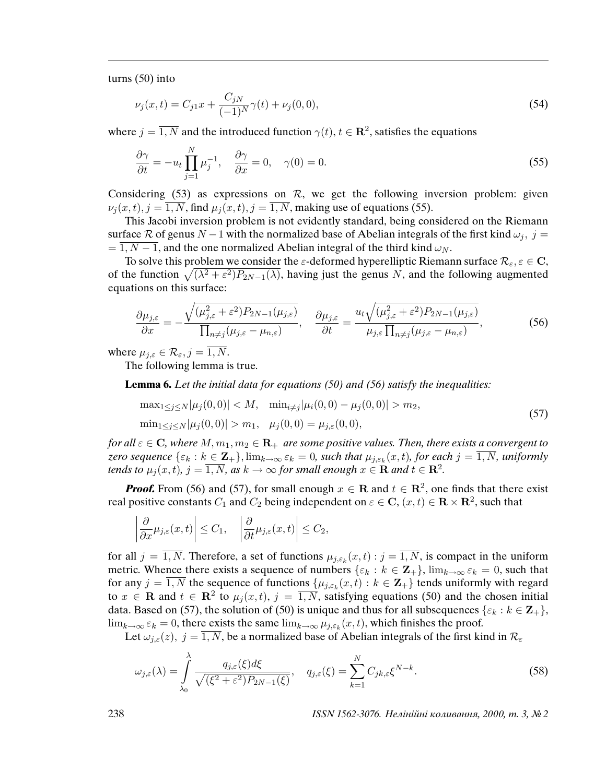turns (50) into

$$
\nu_j(x,t) = C_{j1}x + \frac{C_{jN}}{(-1)^N} \gamma(t) + \nu_j(0,0),\tag{54}
$$

where  $j = \overline{1, N}$  and the introduced function  $\gamma(t)$ ,  $t \in \mathbb{R}^2$ , satisfies the equations

$$
\frac{\partial \gamma}{\partial t} = -u_t \prod_{j=1}^N \mu_j^{-1}, \quad \frac{\partial \gamma}{\partial x} = 0, \quad \gamma(0) = 0.
$$
\n(55)

Considering (53) as expressions on  $R$ , we get the following inversion problem: given  $\nu_i(x, t)$ ,  $j = \overline{1, N}$ , find  $\mu_i(x, t)$ ,  $j = \overline{1, N}$ , making use of equations (55).

This Jacobi inversion problem is not evidently standard, being considered on the Riemann surface R of genus  $N-1$  with the normalized base of Abelian integrals of the first kind  $\omega_j$ ,  $j =$  $= 1, N - 1$ , and the one normalized Abelian integral of the third kind  $\omega_N$ .

To solve this problem we consider the  $\varepsilon$ -deformed hyperelliptic Riemann surface  $\mathcal{R}_{\varepsilon}, \varepsilon \in \mathbb{C}$ , of the function  $\sqrt{(\lambda^2 + \varepsilon^2)P_{2N-1}(\lambda)}$ , having just the genus N, and the following augmented equations on this surface:

$$
\frac{\partial \mu_{j,\varepsilon}}{\partial x} = -\frac{\sqrt{(\mu_{j,\varepsilon}^2 + \varepsilon^2) P_{2N-1}(\mu_{j,\varepsilon})}}{\prod_{n \neq j} (\mu_{j,\varepsilon} - \mu_{n,\varepsilon})}, \quad \frac{\partial \mu_{j,\varepsilon}}{\partial t} = \frac{u_t \sqrt{(\mu_{j,\varepsilon}^2 + \varepsilon^2) P_{2N-1}(\mu_{j,\varepsilon})}}{\mu_{j,\varepsilon} \prod_{n \neq j} (\mu_{j,\varepsilon} - \mu_{n,\varepsilon})},
$$
(56)

where  $\mu_{j,\varepsilon} \in \mathcal{R}_{\varepsilon}, j = \overline{1, N}.$ 

The following lemma is true.

**Lemma 6.** Let the initial data for equations (50) and (56) satisfy the inequalities:

$$
\max_{1 \le j \le N} |\mu_j(0,0)| < M, \quad \min_{i \ne j} |\mu_i(0,0) - \mu_j(0,0)| > m_2,\n\min_{1 \le j \le N} |\mu_j(0,0)| > m_1, \quad \mu_j(0,0) = \mu_{j,\varepsilon}(0,0),
$$
\n(57)

for all  $\varepsilon \in \mathbb{C}$ , where  $M, m_1, m_2 \in \mathbb{R}_+$  are some positive values. Then, there exists a convergent to zero sequence  $\{\varepsilon_k: k\in \mathbf{Z}_+\}$ ,  $\lim_{k\to\infty} \varepsilon_k = 0$ , such that  $\mu_{j,\varepsilon_k}(x,t)$ , for each  $j=\overline{1,N}$ , uniformly tends to  $\mu_j(x,t)$ ,  $j=\overline{1,N}$ , as  $k\to\infty$  for small enough  $x\in\mathbf{R}$  and  $t\in\mathbf{R}^2$ .

**Proof.** From (56) and (57), for small enough  $x \in \mathbb{R}$  and  $t \in \mathbb{R}^2$ , one finds that there exist real positive constants  $C_1$  and  $C_2$  being independent on  $\varepsilon \in {\bf C},$   $(x,t) \in {\bf R} \times {\bf R}^2$ , such that

$$
\left|\frac{\partial}{\partial x}\mu_{j,\varepsilon}(x,t)\right| \leq C_1, \quad \left|\frac{\partial}{\partial t}\mu_{j,\varepsilon}(x,t)\right| \leq C_2,
$$

for all  $j = 1, N$ . Therefore, a set of functions  $\mu_{j, \varepsilon_k}(x, t) : j = 1, N$ , is compact in the uniform metric. Whence there exists a sequence of numbers  $\{\varepsilon_k : k \in \mathbb{Z}_+\}$ ,  $\lim_{k \to \infty} \varepsilon_k = 0$ , such that for any  $j = \overline{1, N}$  the sequence of functions  $\{\mu_{j,\varepsilon_k}(x,t) : k \in \mathbb{Z}_+\}$  tends uniformly with regard to  $x \in \mathbf{R}$  and  $t \in \mathbf{R}^2$  to  $\mu_j(x,t)$ ,  $j = \overline{1,N}$ , satisfying equations (50) and the chosen initial data. Based on (57), the solution of (50) is unique and thus for all subsequences { $\varepsilon_k : k \in \mathbb{Z}_+$ },  $\lim_{k\to\infty} \varepsilon_k = 0$ , there exists the same  $\lim_{k\to\infty} \mu_{j,\varepsilon_k}(x,t)$ , which finishes the proof.

Let  $\omega_{i,\varepsilon}(z)$ ,  $j = \overline{1,N}$ , be a normalized base of Abelian integrals of the first kind in  $\mathcal{R}_{\varepsilon}$ 

$$
\omega_{j,\varepsilon}(\lambda) = \int_{\lambda_0}^{\lambda} \frac{q_{j,\varepsilon}(\xi) d\xi}{\sqrt{(\xi^2 + \varepsilon^2) P_{2N-1}(\xi)}}, \quad q_{j,\varepsilon}(\xi) = \sum_{k=1}^N C_{jk,\varepsilon} \xi^{N-k}.
$$
\n(58)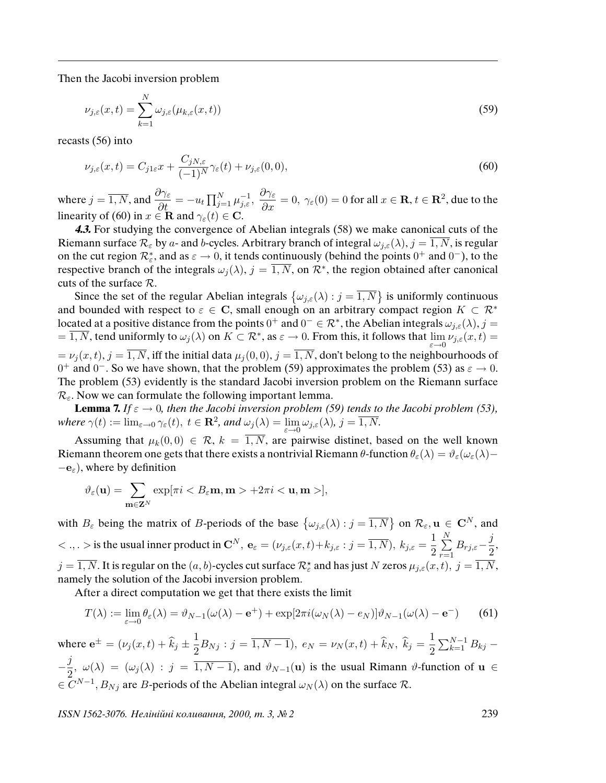Then the Jacobi inversion problem

$$
\nu_{j,\varepsilon}(x,t) = \sum_{k=1}^{N} \omega_{j,\varepsilon}(\mu_{k,\varepsilon}(x,t))
$$
\n(59)

recasts (56) into

$$
\nu_{j,\varepsilon}(x,t) = C_{j1\varepsilon}x + \frac{C_{jN,\varepsilon}}{(-1)^N} \gamma_{\varepsilon}(t) + \nu_{j,\varepsilon}(0,0),\tag{60}
$$

where  $j = \overline{1, N}$ , and  $\frac{\partial \gamma_{\varepsilon}}{\partial t} = -u_t \prod_{j=1}^N \mu_{j,\varepsilon}^{-1}$ ,  $\frac{\partial \gamma_{\varepsilon}}{\partial x} = 0$ ,  $\gamma_{\varepsilon}(0) = 0$  for all  $x \in \mathbb{R}$ ,  $t \in \mathbb{R}^2$ , due to the linearity of (60) in  $x \in \mathbf{R}$  and  $\gamma_{\varepsilon}(t) \in \mathbf{C}$ .

**4.3.** For studying the convergence of Abelian integrals (58) we make canonical cuts of the Riemann surface  $\mathcal{R}_{\varepsilon}$  by a- and b-cycles. Arbitrary branch of integral  $\omega_{j,\varepsilon}(\lambda)$ ,  $j = \overline{1, N}$ , is regular on the cut region  $\mathcal{R}_{\varepsilon}^*$ , and as  $\varepsilon \to 0$ , it tends continuously (behind the points  $0^+$  and  $0^-$ ), to the respective branch of the integrals  $\omega_j(\lambda)$ ,  $j = \overline{1, N}$ , on  $\mathcal{R}^*$ , the region obtained after canonical cuts of the surface  $\mathcal{R}$ .

Since the set of the regular Abelian integrals  $\{\omega_{j,\varepsilon}(\lambda):j=\overline{1,N}\}\$  is uniformly continuous and bounded with respect to  $\varepsilon \in \mathbb{C}$ , small enough on an arbitrary compact region  $K \subset \mathbb{R}^*$ located at a positive distance from the points  $0^+$  and  $0^- \in \mathcal{R}^*$ , the Abelian integrals  $\omega_{j,\varepsilon}(\lambda), j =$  $=\overline{1, N}$ , tend uniformly to  $\omega_j(\lambda)$  on  $K \subset \mathcal{R}^*$ , as  $\varepsilon \to 0$ . From this, it follows that  $\lim_{\varepsilon \to 0} \nu_{j,\varepsilon}(x,t) =$  $= \nu_i(x, t), j = \overline{1, N}$ , iff the initial data  $\mu_i(0, 0), j = \overline{1, N}$ , don't belong to the neighbourhoods of  $0^+$  and  $0^-$ . So we have shown, that the problem (59) approximates the problem (53) as  $\varepsilon \to 0$ . The problem (53) evidently is the standard Jacobi inversion problem on the Riemann surface  $\mathcal{R}_{\varepsilon}$ . Now we can formulate the following important lemma.

**Lemma 7.** If  $\varepsilon \to 0$ , then the Jacobi inversion problem (59) tends to the Jacobi problem (53), where  $\gamma(t) := \lim_{\varepsilon \to 0} \gamma_{\varepsilon}(t), t \in \mathbf{R}^2$ , and  $\omega_j(\lambda) = \lim_{\varepsilon \to 0} \omega_{j,\varepsilon}(\lambda)$ ,  $j = \overline{1, N}$ .

Assuming that  $\mu_k(0,0) \in \mathcal{R}$ ,  $k = \overline{1,N}$ , are pairwise distinet, based on the well known Riemann theorem one gets that there exists a nontrivial Riemann θ-function  $\theta_{\varepsilon}(\lambda) = \vartheta_{\varepsilon}(\omega_{\varepsilon}(\lambda) - \vartheta_{\varepsilon}(\lambda))$  $-\mathbf{e}_{\varepsilon}$ ), where by definition

$$
\vartheta_{\varepsilon}(\mathbf{u}) = \sum_{\mathbf{m}\in\mathbf{Z}^N}\exp[\pi i < B_{\varepsilon}\mathbf{m}, \mathbf{m} > +2\pi i < \mathbf{u}, \mathbf{m} >],
$$

with  $B_{\varepsilon}$  being the matrix of B-periods of the base  $\{\omega_{j,\varepsilon}(\lambda):j=\overline{1,N}\}$  on  $\mathcal{R}_{\varepsilon}$ ,  $\mathbf{u}\in\mathbf{C}^{N}$ , and  $< ., .>$  is the usual inner product in  $\mathbb{C}^N$ ,  $\mathbf{e}_{\varepsilon} = (\nu_{j,\varepsilon}(x,t) + k_{j,\varepsilon} : j = \overline{1,N})$ ,  $k_{j,\varepsilon} = \frac{1}{2}$  $\frac{1}{2}\sum_{r=1}$ N  $r=1$  $B_{rj,\varepsilon}-\frac{j}{2}$  $\frac{J}{2}$  $j=\overline{1,N}.$  It is regular on the  $(a,b)$ -cycles cut surface  $\mathcal R_\varepsilon^\star$  and has just  $N$  zeros  $\mu_{j,\varepsilon}(x,t),\ j=\overline{1,N},$ namely the solution of the Jacobi inversion problem.

After a direct computation we get that there exists the limit

$$
T(\lambda) := \lim_{\varepsilon \to 0} \theta_{\varepsilon}(\lambda) = \vartheta_{N-1}(\omega(\lambda) - \mathbf{e}^+) + \exp[2\pi i(\omega_N(\lambda) - e_N)]\vartheta_{N-1}(\omega(\lambda) - \mathbf{e}^-)
$$
(61)

where  $e^{\pm} = (\nu_j(x, t) + \widehat{k}_j \pm \frac{1}{2})$  $\frac{1}{2}B_{Nj}$ :  $j = \overline{1, N-1}$ ,  $e_N = \nu_N(x, t) + \widehat{k}_N$ ,  $\widehat{k}_j = \frac{1}{2}$  $\frac{1}{2}\sum_{k=1}^{N-1}B_{kj} -\frac{j}{j}$  $\frac{\partial J}{\partial x^2}$ ,  $\omega(\lambda) = (\omega_j(\lambda) : j = \overline{1, N-1})$ , and  $\vartheta_{N-1}(\mathbf{u})$  is the usual Rimann  $\vartheta$ -function of  $\mathbf{u} \in \mathbb{R}$  $\in \overline{C}^{N-1}, B_{Nj}$  are B-periods of the Abelian integral  $\omega_N(\lambda)$  on the surface R.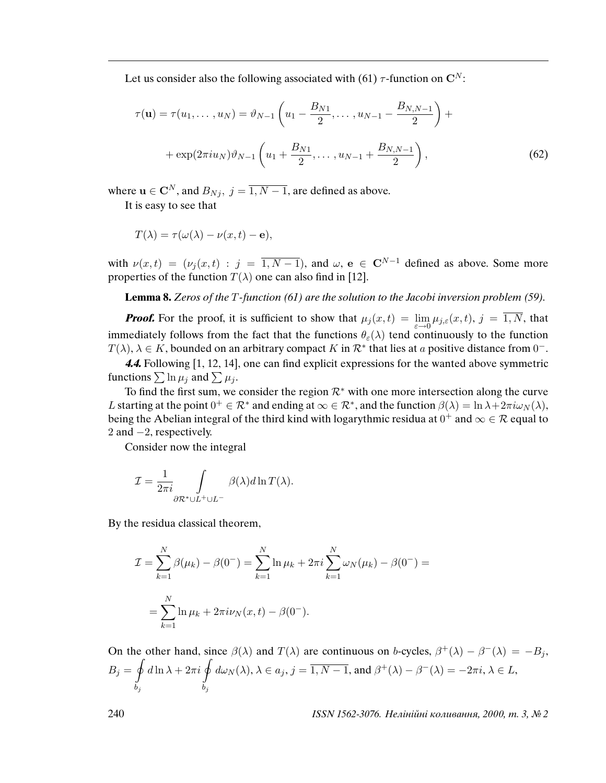Let us consider also the following associated with (61)  $\tau$ -function on C<sup>N</sup>:

$$
\tau(\mathbf{u}) = \tau(u_1, \dots, u_N) = \vartheta_{N-1} \left( u_1 - \frac{B_{N1}}{2}, \dots, u_{N-1} - \frac{B_{N,N-1}}{2} \right) +
$$

$$
+ \exp(2\pi i u_N) \vartheta_{N-1} \left( u_1 + \frac{B_{N1}}{2}, \dots, u_{N-1} + \frac{B_{N,N-1}}{2} \right),
$$
(62)

where  $\mathbf{u} \in \mathbf{C}^N$ , and  $B_{Nj}$ ,  $j = \overline{1, N-1}$ , are defined as above.

It is easy to see that

$$
T(\lambda) = \tau(\omega(\lambda) - \nu(x, t) - \mathbf{e}),
$$

with  $\nu(x,t) = (\nu_i(x,t) : j = \overline{1,N-1})$ , and  $\omega$ ,  $e \in \mathbb{C}^{N-1}$  defined as above. Some more properties of the function  $T(\lambda)$  one can also find in [12].

**Lemma 8.** Zeros of the T-function (61) are the solution to the Jacobi inversion problem (59).

**Proof.** For the proof, it is sufficient to show that  $\mu_j(x,t) = \lim_{\varepsilon \to 0} \mu_{j,\varepsilon}(x,t)$ ,  $j = 1, N$ , that immediately follows from the fact that the functions  $\theta_{\varepsilon}(\lambda)$  tend continuously to the function  $T(\lambda)$ ,  $\lambda \in K$ , bounded on an arbitrary compact K in  $\mathcal{R}^*$  that lies at a positive distance from 0<sup>-</sup>.

**4.4.** Following [1, 12, 14], one can find explicit expressions for the wanted above symmetric functions  $\sum \ln \mu_j$  and  $\sum \mu_j$ .

To find the first sum, we consider the region  $\mathcal{R}^*$  with one more intersection along the curve L starting at the point  $0^+ \in \mathcal{R}^*$  and ending at  $\infty \in \mathcal{R}^*$ , and the function  $\beta(\lambda) = \ln \lambda + 2\pi i \omega_N(\lambda)$ , being the Abelian integral of the third kind with logarythmic residua at  $0^+$  and  $\infty \in \mathcal{R}$  equal to 2 and −2, respectively.

Consider now the integral

$$
\mathcal{I} = \frac{1}{2\pi i} \int\limits_{\partial \mathcal{R}^* \cup L^+ \cup L^-} \beta(\lambda) d\ln T(\lambda).
$$

By the residua classical theorem,

$$
\mathcal{I} = \sum_{k=1}^{N} \beta(\mu_k) - \beta(0^{-}) = \sum_{k=1}^{N} \ln \mu_k + 2\pi i \sum_{k=1}^{N} \omega_N(\mu_k) - \beta(0^{-}) =
$$
  
= 
$$
\sum_{k=1}^{N} \ln \mu_k + 2\pi i \nu_N(x, t) - \beta(0^{-}).
$$

On the other hand, since  $\beta(\lambda)$  and  $T(\lambda)$  are continuous on b-cycles,  $\beta^+(\lambda) - \beta^-(\lambda) = -B_j$ ,  $B_j = \varphi$  $b_j$  $d\ln\lambda+2\pi i$  $b_j$  $d\omega_N(\lambda)$ ,  $\lambda \in a_j$ ,  $j = \overline{1, N-1}$ , and  $\beta^+(\lambda) - \beta^-(\lambda) = -2\pi i$ ,  $\lambda \in L$ ,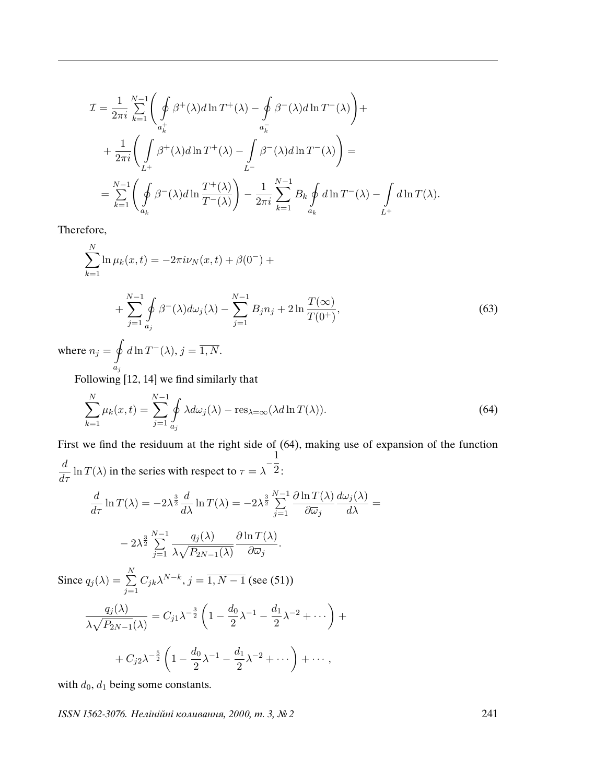$$
\mathcal{I} = \frac{1}{2\pi i} \sum_{k=1}^{N-1} \left( \oint_{a_k^+} \beta^+(\lambda) d \ln T^+(\lambda) - \oint_{a_k^-} \beta^-(\lambda) d \ln T^-(\lambda) \right) +
$$
  
+ 
$$
\frac{1}{2\pi i} \left( \int_{L^+} \beta^+(\lambda) d \ln T^+(\lambda) - \int_{L^-} \beta^-(\lambda) d \ln T^-(\lambda) \right) =
$$
  
= 
$$
\sum_{k=1}^{N-1} \left( \oint_{a_k} \beta^-(\lambda) d \ln \frac{T^+(\lambda)}{T^-(\lambda)} \right) - \frac{1}{2\pi i} \sum_{k=1}^{N-1} B_k \oint_{a_k} d \ln T^-(\lambda) - \int_{L^+} d \ln T(\lambda).
$$

Therefore,

$$
\sum_{k=1}^{N} \ln \mu_k(x, t) = -2\pi i \nu_N(x, t) + \beta(0^{-}) +
$$

$$
+\sum_{j=1}^{N-1} \oint_{a_j} \beta^{-}(\lambda) d\omega_j(\lambda) - \sum_{j=1}^{N-1} B_j n_j + 2 \ln \frac{T(\infty)}{T(0^+)},\tag{63}
$$

where  $n_j = 9$  $a_j$  $d\ln T^{-}(\lambda), j=\overline{1,N}.$ 

Following [12, 14] we find similarly that

$$
\sum_{k=1}^{N} \mu_k(x, t) = \sum_{j=1}^{N-1} \oint \lambda d\omega_j(\lambda) - \operatorname{res}_{\lambda=\infty}(\lambda d \ln T(\lambda)).
$$
\n(64)

 $=$ 

First we find the residuum at the right side of (64), making use of expansion of the function  $\frac{d}{d\tau} \ln T(\lambda)$  in the series with respect to  $\tau = \lambda$  $\frac{1}{1}$  $2:$ 

$$
\frac{d}{d\tau} \ln T(\lambda) = -2\lambda^{\frac{3}{2}} \frac{d}{d\lambda} \ln T(\lambda) = -2\lambda^{\frac{3}{2}} \sum_{j=1}^{N-1} \frac{\partial \ln T(\lambda)}{\partial \overline{\omega}_j} \frac{d\omega_j(\lambda)}{d\lambda}
$$

$$
-2\lambda^{\frac{3}{2}} \sum_{j=1}^{N-1} \frac{q_j(\lambda)}{\lambda \sqrt{P_{2N-1}(\lambda)}} \frac{\partial \ln T(\lambda)}{\partial \overline{\omega}_j}.
$$
Since  $q_j(\lambda) = \sum_{j=1}^{N} C_{jk} \lambda^{N-k}$ ,  $j = \overline{1, N-1}$  (see (51))
$$
\frac{q_j(\lambda)}{\lambda \sqrt{P_{2N-1}(\lambda)}} = C_{j1} \lambda^{-\frac{3}{2}} \left(1 - \frac{d_0}{2} \lambda^{-1} - \frac{d_1}{2} \lambda^{-2} + \cdots \right) + C_{j2} \lambda^{-\frac{5}{2}} \left(1 - \frac{d_0}{2} \lambda^{-1} - \frac{d_1}{2} \lambda^{-2} + \cdots \right) + \cdots,
$$

with  $d_0$ ,  $d_1$  being some constants.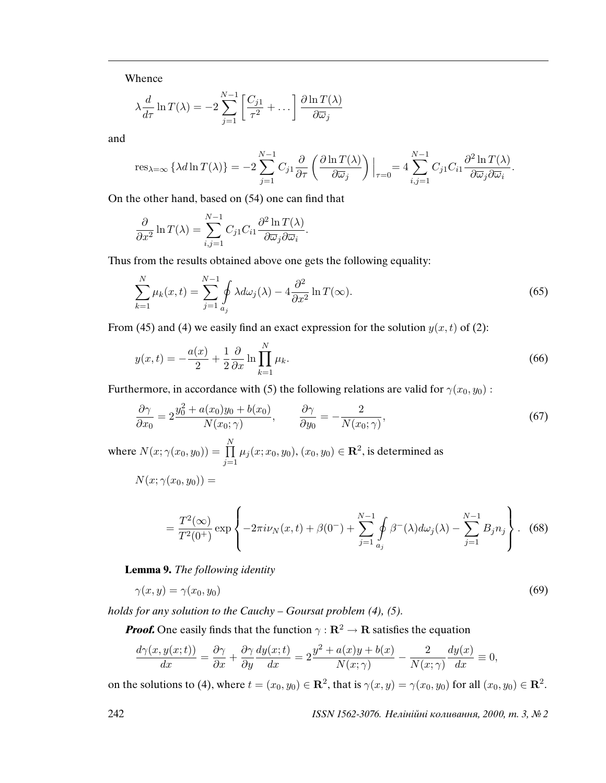Whence

$$
\lambda \frac{d}{d\tau} \ln T(\lambda) = -2 \sum_{j=1}^{N-1} \left[ \frac{C_{j1}}{\tau^2} + \dots \right] \frac{\partial \ln T(\lambda)}{\partial \overline{\omega}_j}
$$

and

$$
\operatorname{res}_{\lambda=\infty} \left\{ \lambda d \ln T(\lambda) \right\} = -2 \sum_{j=1}^{N-1} C_{j1} \frac{\partial}{\partial \tau} \left( \frac{\partial \ln T(\lambda)}{\partial \overline{\omega}_{j}} \right) \Big|_{\tau=0} = 4 \sum_{i,j=1}^{N-1} C_{j1} C_{i1} \frac{\partial^2 \ln T(\lambda)}{\partial \overline{\omega}_{j} \partial \overline{\omega}_{i}}.
$$

On the other hand, based on (54) one can find that

$$
\frac{\partial}{\partial x^2} \ln T(\lambda) = \sum_{i,j=1}^{N-1} C_{j1} C_{i1} \frac{\partial^2 \ln T(\lambda)}{\partial \overline{\omega}_j \partial \overline{\omega}_i}.
$$

Thus from the results obtained above one gets the following equality:

$$
\sum_{k=1}^{N} \mu_k(x, t) = \sum_{j=1}^{N-1} \oint_{a_j} \lambda d\omega_j(\lambda) - 4 \frac{\partial^2}{\partial x^2} \ln T(\infty).
$$
 (65)

From (45) and (4) we easily find an exact expression for the solution  $y(x, t)$  of (2):

$$
y(x,t) = -\frac{a(x)}{2} + \frac{1}{2}\frac{\partial}{\partial x}\ln\prod_{k=1}^{N}\mu_k.
$$
\n(66)

Furthermore, in accordance with (5) the following relations are valid for  $\gamma(x_0, y_0)$ :

$$
\frac{\partial \gamma}{\partial x_0} = 2 \frac{y_0^2 + a(x_0)y_0 + b(x_0)}{N(x_0; \gamma)}, \qquad \frac{\partial \gamma}{\partial y_0} = -\frac{2}{N(x_0; \gamma)},\tag{67}
$$

where  $N(x; \gamma(x_0, y_0)) = \prod$ N  $j=1$  $\mu_j(x;x_0,y_0), (x_0,y_0) \in \mathbf{R}^2$ , is determined as

$$
N(x; \gamma(x_0, y_0)) =
$$

$$
= \frac{T^{2}(\infty)}{T^{2}(0^{+})} \exp\left\{-2\pi i\nu_{N}(x,t) + \beta(0^{-}) + \sum_{j=1}^{N-1} \oint_{a_{j}} \beta^{-}(\lambda) d\omega_{j}(\lambda) - \sum_{j=1}^{N-1} B_{j} n_{j}\right\}.
$$
 (68)

**Lemma 9.** The following identity

$$
\gamma(x,y) = \gamma(x_0, y_0) \tag{69}
$$

holds for any solution to the Cauchy *–* Goursat problem (4), (5).

**Proof.** One easily finds that the function  $\gamma : \mathbb{R}^2 \to \mathbb{R}$  satisfies the equation

$$
\frac{d\gamma(x,y(x;t))}{dx} = \frac{\partial \gamma}{\partial x} + \frac{\partial \gamma}{\partial y} \frac{dy(x;t)}{dx} = 2\frac{y^2 + a(x)y + b(x)}{N(x;\gamma)} - \frac{2}{N(x;\gamma)} \frac{dy(x)}{dx} \equiv 0,
$$

on the solutions to (4), where  $t = (x_0, y_0) \in \mathbb{R}^2$ , that is  $\gamma(x, y) = \gamma(x_0, y_0)$  for all  $(x_0, y_0) \in \mathbb{R}^2$ .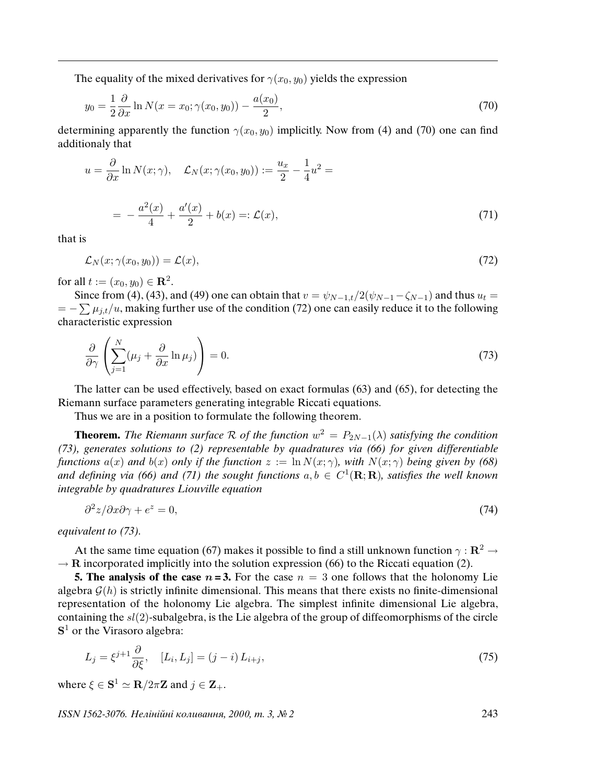The equality of the mixed derivatives for  $\gamma(x_0, y_0)$  yields the expression

$$
y_0 = \frac{1}{2} \frac{\partial}{\partial x} \ln N(x = x_0; \gamma(x_0, y_0)) - \frac{a(x_0)}{2},\tag{70}
$$

determining apparently the function  $\gamma(x_0, y_0)$  implicitly. Now from (4) and (70) one can find additionaly that

$$
u = \frac{\partial}{\partial x} \ln N(x; \gamma), \quad \mathcal{L}_N(x; \gamma(x_0, y_0)) := \frac{u_x}{2} - \frac{1}{4} u^2 =
$$
  
= 
$$
-\frac{a^2(x)}{4} + \frac{a'(x)}{2} + b(x) =: \mathcal{L}(x),
$$
 (71)

that is

$$
\mathcal{L}_N(x;\gamma(x_0,y_0)) = \mathcal{L}(x),\tag{72}
$$

for all  $t := (x_0, y_0) \in \mathbb{R}^2$ .

Since from (4), (43), and (49) one can obtain that  $v = \psi_{N-1,t}/2(\psi_{N-1}-\zeta_{N-1})$  and thus  $u_t =$  $= -\sum \mu_{j,t}/u$ , making further use of the condition (72) one can easily reduce it to the following characteristic expression

$$
\frac{\partial}{\partial \gamma} \left( \sum_{j=1}^{N} (\mu_j + \frac{\partial}{\partial x} \ln \mu_j) \right) = 0. \tag{73}
$$

The latter can be used effectively, based on exact formulas (63) and (65), for detecting the Riemann surface parameters generating integrable Riccati equations.

Thus we are in a position to formulate the following theorem.

**Theorem.** The Riemann surface R of the function  $w^2 = P_{2N-1}(\lambda)$  satisfying the condition (73), generates solutions to (2) representable by quadratures via (66) for given differentiable functions  $a(x)$  and  $b(x)$  only if the function  $z := \ln N(x; \gamma)$ , with  $N(x; \gamma)$  being given by (68) and defining via (66) and (71) the sought functions  $a, b \in C^1(\mathbf{R}; \mathbf{R})$ , satisfies the well known integrable by quadratures Liouville equation

$$
\frac{\partial^2 z}{\partial x \partial \gamma} + e^z = 0,\tag{74}
$$

equivalent to (73).

 $\Omega$ 

At the same time equation (67) makes it possible to find a still unknown function  $\gamma : \mathbb{R}^2 \to$  $\rightarrow$  R incorporated implicitly into the solution expression (66) to the Riccati equation (2).

**5. The analysis of the case**  $n = 3$ . For the case  $n = 3$  one follows that the holonomy Lie algebra  $G(h)$  is strictly infinite dimensional. This means that there exists no finite-dimensional representation of the holonomy Lie algebra. The simplest infinite dimensional Lie algebra, containing the  $sl(2)$ -subalgebra, is the Lie algebra of the group of diffeomorphisms of the circle  $S<sup>1</sup>$  or the Virasoro algebra:

$$
L_j = \xi^{j+1} \frac{\partial}{\partial \xi}, \quad [L_i, L_j] = (j-i) L_{i+j}, \tag{75}
$$

where  $\xi \in \mathbf{S}^1 \simeq \mathbf{R}/2\pi \mathbf{Z}$  and  $j \in \mathbf{Z}_+$ .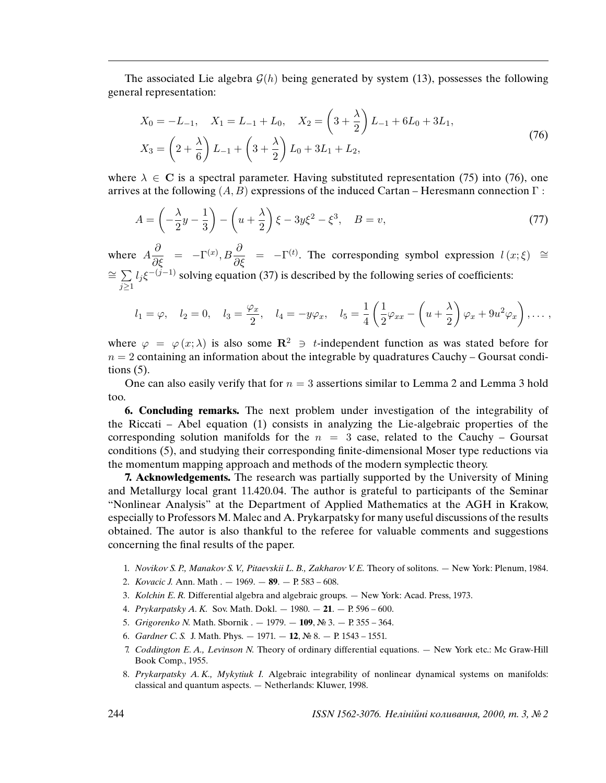The associated Lie algebra  $\mathcal{G}(h)$  being generated by system (13), possesses the following general representation:

$$
X_0 = -L_{-1}, \quad X_1 = L_{-1} + L_0, \quad X_2 = \left(3 + \frac{\lambda}{2}\right)L_{-1} + 6L_0 + 3L_1,
$$
  

$$
X_3 = \left(2 + \frac{\lambda}{6}\right)L_{-1} + \left(3 + \frac{\lambda}{2}\right)L_0 + 3L_1 + L_2,
$$
 (76)

where  $\lambda \in \mathbb{C}$  is a spectral parameter. Having substituted representation (75) into (76), one arrives at the following  $(A, B)$  expressions of the induced Cartan – Heresmann connection  $\Gamma$ :

$$
A = \left(-\frac{\lambda}{2}y - \frac{1}{3}\right) - \left(u + \frac{\lambda}{2}\right)\xi - 3y\xi^2 - \xi^3, \quad B = v,\tag{77}
$$

where  $A\frac{\partial}{\partial \xi} = -\Gamma^{(x)}, B\frac{\partial}{\partial \xi} = -\Gamma^{(t)}$ . The corresponding symbol expression  $l(x;\xi) \cong$  $\cong$   $\sum$  $\sum_{j\geq 1}$  $l_j \xi^{-(j-1)}$  solving equation (37) is described by the following series of coefficients:

$$
l_1 = \varphi
$$
,  $l_2 = 0$ ,  $l_3 = \frac{\varphi_x}{2}$ ,  $l_4 = -y\varphi_x$ ,  $l_5 = \frac{1}{4}\left(\frac{1}{2}\varphi_{xx} - \left(u + \frac{\lambda}{2}\right)\varphi_x + 9u^2\varphi_x\right)$ , ...,

where  $\varphi = \varphi(x; \lambda)$  is also some  $\mathbb{R}^2 \ni t$ -independent function as was stated before for  $n = 2$  containing an information about the integrable by quadratures Cauchy – Goursat conditions  $(5)$ .

One can also easily verify that for  $n = 3$  assertions similar to Lemma 2 and Lemma 3 hold too.

**6. Concluding remarks.** The next problem under investigation of the integrability of the Riccati – Abel equation (1) consists in analyzing the Lie-algebraic properties of the corresponding solution manifolds for the  $n = 3$  case, related to the Cauchy – Goursat conditions (5), and studying their corresponding finite-dimensional Moser type reductions via the momentum mapping approach and methods of the modern symplectic theory.

**7. Acknowledgements.** The research was partially supported by the University of Mining and Metallurgy local grant 11.420.04. The author is grateful to participants of the Seminar "Nonlinear Analysis" at the Department of Applied Mathematics at the AGH in Krakow, especially to Professors M. Malec and A. Prykarpatsky for many useful discussions of the results obtained. The autor is also thankful to the referee for valuable comments and suggestions concerning the final results of the paper.

- 1. Novikov S. P., Manakov S. V., Pitaevskii L. B., Zakharov V. E. Theory of solitons. New York: Plenum, 1984.
- 2. Kovacic J. Ann. Math . 1969. **89**. P. 583 608.
- 3. Kolchin E. R. Differential algebra and algebraic groups. New York: Acad. Press, 1973.
- 4. Prykarpatsky A. K. Sov. Math. Dokl. 1980. **21**. P. 596 600.
- 5. Grigorenko N. Math. Sbornik . 1979. **109**, № 3. P. 355 364.
- 6. Gardner C. S. J. Math. Phys. 1971. **12**, № 8. P. 1543 1551.
- 7. Coddington E. A., Levinson N. Theory of ordinary differential equations. New York etc.: Mc Graw-Hill Book Comp., 1955.
- 8. Prykarpatsky A. K., Mykytiuk I. Algebraic integrability of nonlinear dynamical systems on manifolds: classical and quantum aspects. — Netherlands: Kluwer, 1998.